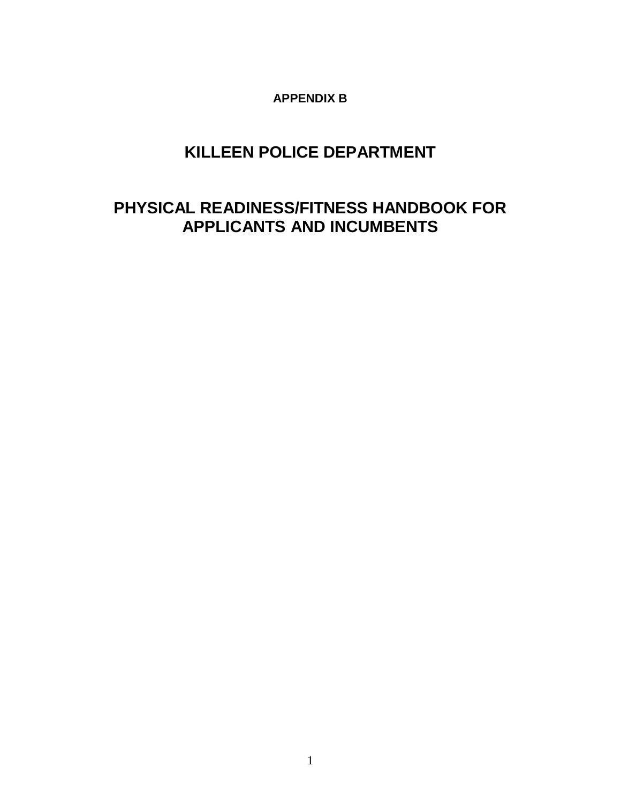**APPENDIX B**

# **KILLEEN POLICE DEPARTMENT**

# **PHYSICAL READINESS/FITNESS HANDBOOK FOR APPLICANTS AND INCUMBENTS**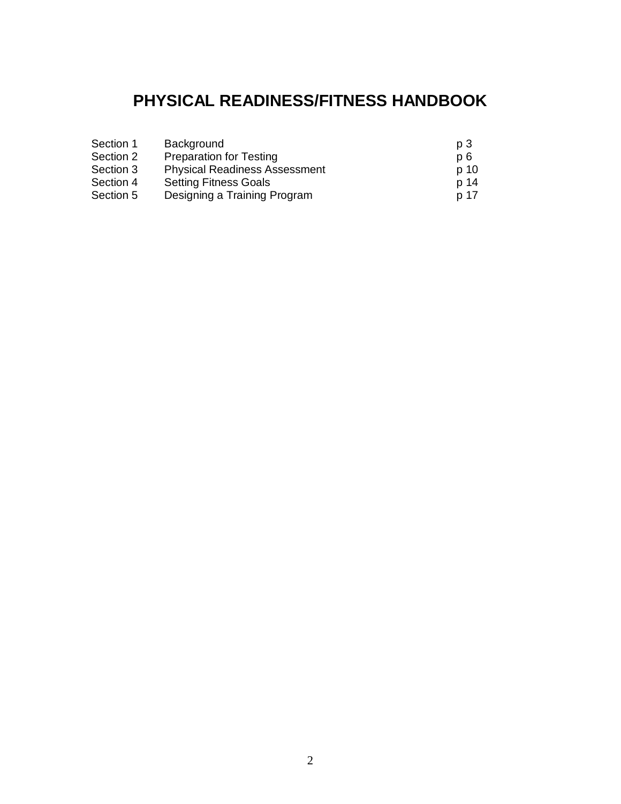# **PHYSICAL READINESS/FITNESS HANDBOOK**

| Section 1 | Background                           | p 3  |
|-----------|--------------------------------------|------|
| Section 2 | <b>Preparation for Testing</b>       | p 6  |
| Section 3 | <b>Physical Readiness Assessment</b> | p 10 |
| Section 4 | <b>Setting Fitness Goals</b>         | p 14 |
| Section 5 | Designing a Training Program         | p 17 |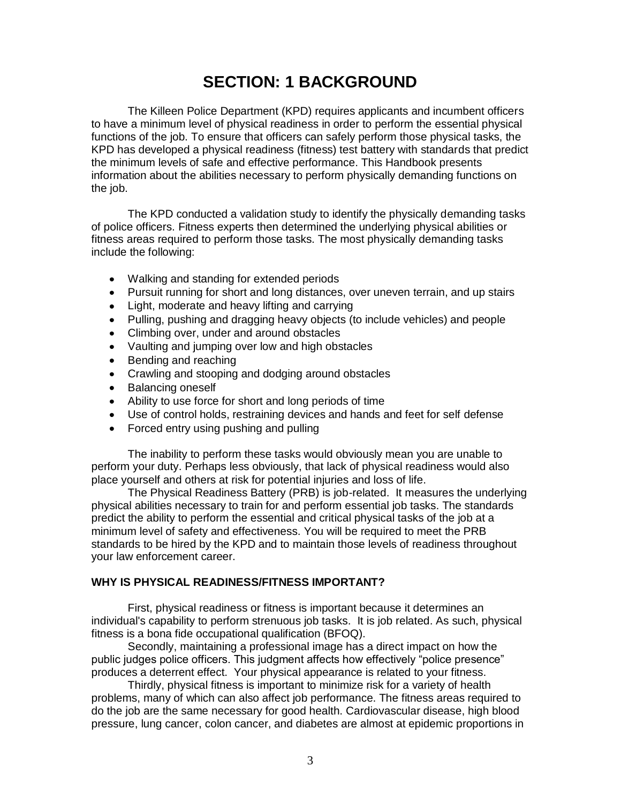# **SECTION: 1 BACKGROUND**

The Killeen Police Department (KPD) requires applicants and incumbent officers to have a minimum level of physical readiness in order to perform the essential physical functions of the job. To ensure that officers can safely perform those physical tasks, the KPD has developed a physical readiness (fitness) test battery with standards that predict the minimum levels of safe and effective performance. This Handbook presents information about the abilities necessary to perform physically demanding functions on the job.

The KPD conducted a validation study to identify the physically demanding tasks of police officers. Fitness experts then determined the underlying physical abilities or fitness areas required to perform those tasks. The most physically demanding tasks include the following:

- Walking and standing for extended periods
- Pursuit running for short and long distances, over uneven terrain, and up stairs
- Light, moderate and heavy lifting and carrying
- Pulling, pushing and dragging heavy objects (to include vehicles) and people
- Climbing over, under and around obstacles
- Vaulting and jumping over low and high obstacles
- Bending and reaching
- Crawling and stooping and dodging around obstacles
- Balancing oneself
- Ability to use force for short and long periods of time
- Use of control holds, restraining devices and hands and feet for self defense
- Forced entry using pushing and pulling

The inability to perform these tasks would obviously mean you are unable to perform your duty. Perhaps less obviously, that lack of physical readiness would also place yourself and others at risk for potential injuries and loss of life.

The Physical Readiness Battery (PRB) is job-related. It measures the underlying physical abilities necessary to train for and perform essential job tasks. The standards predict the ability to perform the essential and critical physical tasks of the job at a minimum level of safety and effectiveness. You will be required to meet the PRB standards to be hired by the KPD and to maintain those levels of readiness throughout your law enforcement career.

# **WHY IS PHYSICAL READINESS/FITNESS IMPORTANT?**

First, physical readiness or fitness is important because it determines an individual's capability to perform strenuous job tasks. It is job related. As such, physical fitness is a bona fide occupational qualification (BFOQ).

Secondly, maintaining a professional image has a direct impact on how the public judges police officers. This judgment affects how effectively "police presence" produces a deterrent effect. Your physical appearance is related to your fitness.

Thirdly, physical fitness is important to minimize risk for a variety of health problems, many of which can also affect job performance. The fitness areas required to do the job are the same necessary for good health. Cardiovascular disease, high blood pressure, lung cancer, colon cancer, and diabetes are almost at epidemic proportions in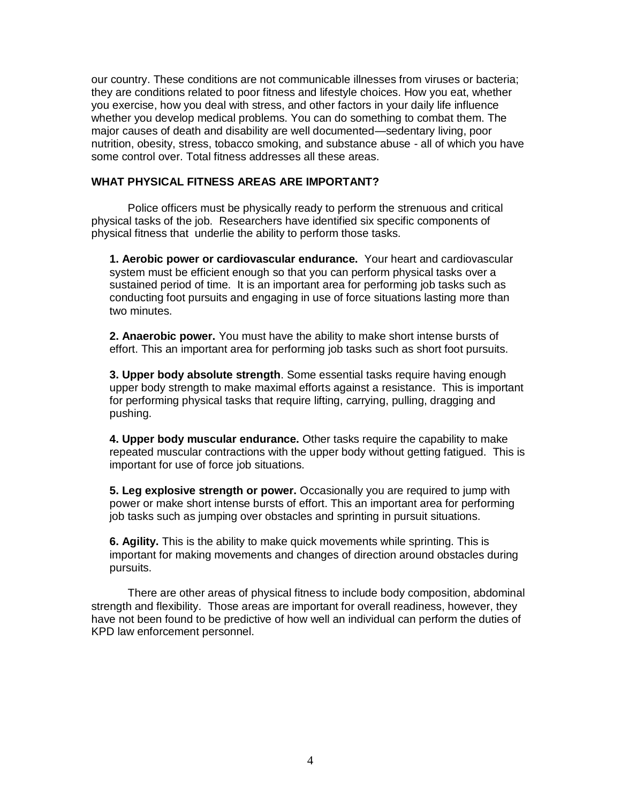our country. These conditions are not communicable illnesses from viruses or bacteria; they are conditions related to poor fitness and lifestyle choices. How you eat, whether you exercise, how you deal with stress, and other factors in your daily life influence whether you develop medical problems. You can do something to combat them. The major causes of death and disability are well documented—sedentary living, poor nutrition, obesity, stress, tobacco smoking, and substance abuse - all of which you have some control over. Total fitness addresses all these areas.

# **WHAT PHYSICAL FITNESS AREAS ARE IMPORTANT?**

Police officers must be physically ready to perform the strenuous and critical physical tasks of the job. Researchers have identified six specific components of physical fitness that underlie the ability to perform those tasks.

**1. Aerobic power or cardiovascular endurance.** Your heart and cardiovascular system must be efficient enough so that you can perform physical tasks over a sustained period of time. It is an important area for performing job tasks such as conducting foot pursuits and engaging in use of force situations lasting more than two minutes.

**2. Anaerobic power.** You must have the ability to make short intense bursts of effort. This an important area for performing job tasks such as short foot pursuits.

**3. Upper body absolute strength**. Some essential tasks require having enough upper body strength to make maximal efforts against a resistance. This is important for performing physical tasks that require lifting, carrying, pulling, dragging and pushing.

**4. Upper body muscular endurance.** Other tasks require the capability to make repeated muscular contractions with the upper body without getting fatigued. This is important for use of force job situations.

**5. Leg explosive strength or power.** Occasionally you are required to jump with power or make short intense bursts of effort. This an important area for performing job tasks such as jumping over obstacles and sprinting in pursuit situations.

**6. Agility.** This is the ability to make quick movements while sprinting. This is important for making movements and changes of direction around obstacles during pursuits.

There are other areas of physical fitness to include body composition, abdominal strength and flexibility. Those areas are important for overall readiness, however, they have not been found to be predictive of how well an individual can perform the duties of KPD law enforcement personnel.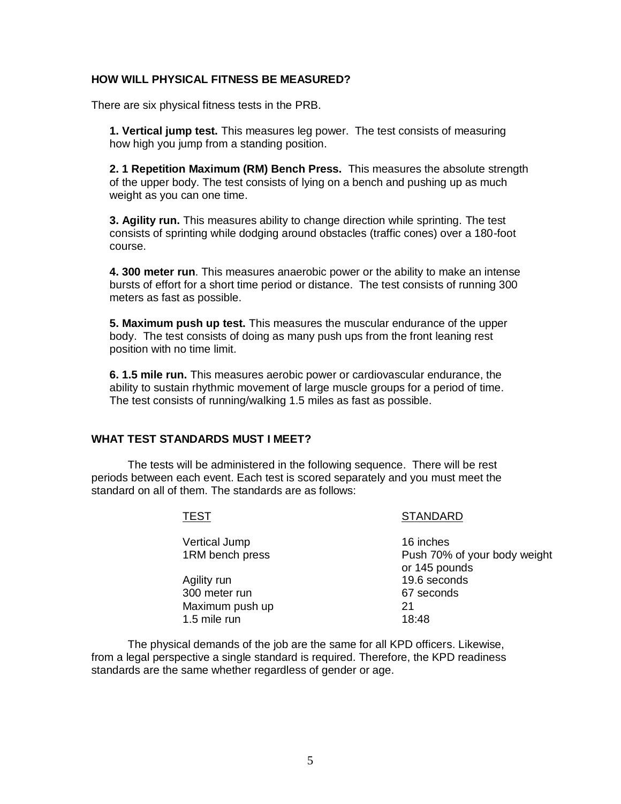#### **HOW WILL PHYSICAL FITNESS BE MEASURED?**

There are six physical fitness tests in the PRB.

**1. Vertical jump test.** This measures leg power. The test consists of measuring how high you jump from a standing position.

**2. 1 Repetition Maximum (RM) Bench Press.** This measures the absolute strength of the upper body. The test consists of lying on a bench and pushing up as much weight as you can one time.

**3. Agility run.** This measures ability to change direction while sprinting. The test consists of sprinting while dodging around obstacles (traffic cones) over a 180-foot course.

**4. 300 meter run**. This measures anaerobic power or the ability to make an intense bursts of effort for a short time period or distance. The test consists of running 300 meters as fast as possible.

**5. Maximum push up test.** This measures the muscular endurance of the upper body. The test consists of doing as many push ups from the front leaning rest position with no time limit.

**6. 1.5 mile run.** This measures aerobic power or cardiovascular endurance, the ability to sustain rhythmic movement of large muscle groups for a period of time. The test consists of running/walking 1.5 miles as fast as possible.

#### **WHAT TEST STANDARDS MUST I MEET?**

The tests will be administered in the following sequence. There will be rest periods between each event. Each test is scored separately and you must meet the standard on all of them. The standards are as follows:

#### TEST STANDARD

| Vertical Jump   | 16 inches                    |
|-----------------|------------------------------|
| 1RM bench press | Push 70% of your body weight |
|                 | or 145 pounds                |
| Agility run     | 19.6 seconds                 |
| 300 meter run   | 67 seconds                   |
| Maximum push up | -21                          |
| 1.5 mile run    | 18:48                        |

The physical demands of the job are the same for all KPD officers. Likewise, from a legal perspective a single standard is required. Therefore, the KPD readiness standards are the same whether regardless of gender or age.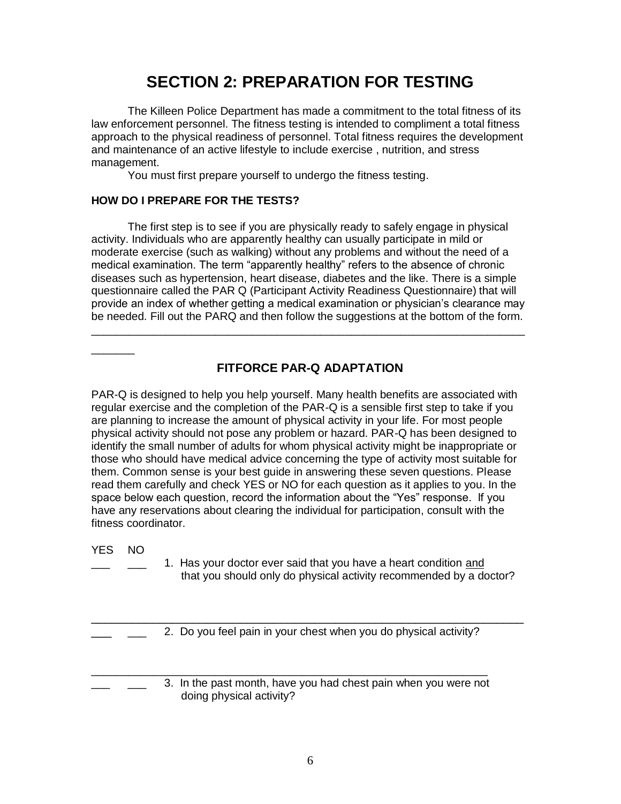# **SECTION 2: PREPARATION FOR TESTING**

The Killeen Police Department has made a commitment to the total fitness of its law enforcement personnel. The fitness testing is intended to compliment a total fitness approach to the physical readiness of personnel. Total fitness requires the development and maintenance of an active lifestyle to include exercise , nutrition, and stress management.

You must first prepare yourself to undergo the fitness testing.

#### **HOW DO I PREPARE FOR THE TESTS?**

The first step is to see if you are physically ready to safely engage in physical activity. Individuals who are apparently healthy can usually participate in mild or moderate exercise (such as walking) without any problems and without the need of a medical examination. The term "apparently healthy" refers to the absence of chronic diseases such as hypertension, heart disease, diabetes and the like. There is a simple questionnaire called the PAR Q (Participant Activity Readiness Questionnaire) that will provide an index of whether getting a medical examination or physician's clearance may be needed. Fill out the PARQ and then follow the suggestions at the bottom of the form.

# **FITFORCE PAR-Q ADAPTATION**

\_\_\_\_\_\_\_\_\_\_\_\_\_\_\_\_\_\_\_\_\_\_\_\_\_\_\_\_\_\_\_\_\_\_\_\_\_\_\_\_\_\_\_\_\_\_\_\_\_\_\_\_\_\_\_\_\_\_\_\_\_\_\_\_\_\_\_\_\_\_

PAR-Q is designed to help you help yourself. Many health benefits are associated with regular exercise and the completion of the PAR-Q is a sensible first step to take if you are planning to increase the amount of physical activity in your life. For most people physical activity should not pose any problem or hazard. PAR-Q has been designed to identify the small number of adults for whom physical activity might be inappropriate or those who should have medical advice concerning the type of activity most suitable for them. Common sense is your best guide in answering these seven questions. Please read them carefully and check YES or NO for each question as it applies to you. In the space below each question, record the information about the "Yes" response. If you have any reservations about clearing the individual for participation, consult with the fitness coordinator.

#### YES NO

\_\_\_\_\_\_\_

1. Has your doctor ever said that you have a heart condition and that you should only do physical activity recommended by a doctor?

2. Do you feel pain in your chest when you do physical activity?

\_\_\_\_\_\_\_\_\_\_\_\_\_\_\_\_\_\_\_\_\_\_\_\_\_\_\_\_\_\_\_\_\_\_\_\_\_\_\_\_\_\_\_\_\_\_\_\_\_\_\_\_\_\_\_\_\_\_\_\_\_\_\_\_

\_\_\_\_\_\_\_\_\_\_\_\_\_\_\_\_\_\_\_\_\_\_\_\_\_\_\_\_\_\_\_\_\_\_\_\_\_\_\_\_\_\_\_\_\_\_\_\_\_\_\_\_\_\_\_\_\_\_\_\_\_\_\_\_

3. In the past month, have you had chest pain when you were not doing physical activity?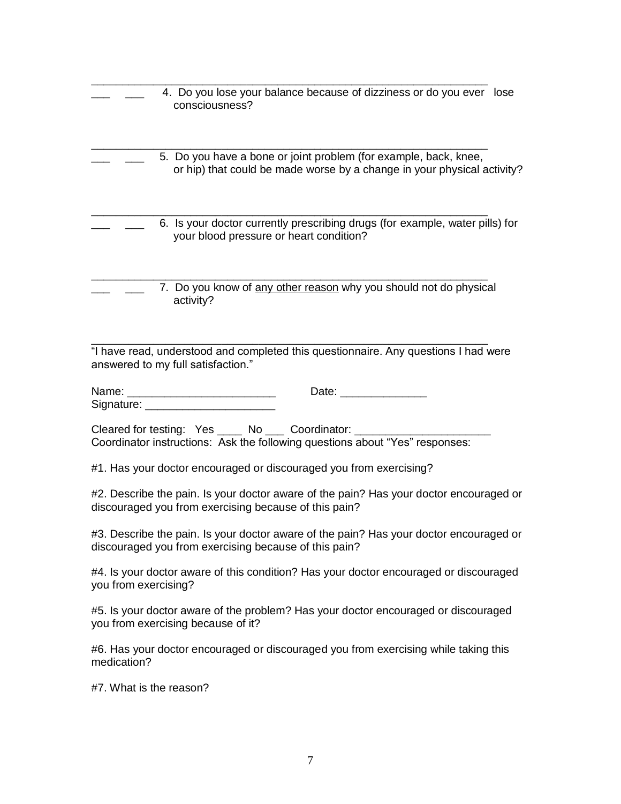| 4. Do you lose your balance because of dizziness or do you ever lose<br>consciousness?                                                          |
|-------------------------------------------------------------------------------------------------------------------------------------------------|
| 5. Do you have a bone or joint problem (for example, back, knee,<br>or hip) that could be made worse by a change in your physical activity?     |
| 6. Is your doctor currently prescribing drugs (for example, water pills) for<br>your blood pressure or heart condition?                         |
| 7. Do you know of any other reason why you should not do physical<br>activity?                                                                  |
| "I have read, understood and completed this questionnaire. Any questions I had were<br>answered to my full satisfaction."                       |
| Date: ________________<br>Signature: __________________________                                                                                 |
| Cleared for testing: Yes _____ No ____ Coordinator: ________<br>Coordinator instructions: Ask the following questions about "Yes" responses:    |
| #1. Has your doctor encouraged or discouraged you from exercising?                                                                              |
| #2. Describe the pain. Is your doctor aware of the pain? Has your doctor encouraged or<br>discouraged you from exercising because of this pain? |
| #3. Describe the pain. Is your doctor aware of the pain? Has your doctor encouraged or<br>discouraged you from exercising because of this pain? |
| #4. Is your doctor aware of this condition? Has your doctor encouraged or discouraged<br>you from exercising?                                   |
| #5. Is your doctor aware of the problem? Has your doctor encouraged or discouraged<br>you from exercising because of it?                        |
| #6. Has your doctor encouraged or discouraged you from exercising while taking this<br>medication?                                              |
| #7. What is the reason?                                                                                                                         |
|                                                                                                                                                 |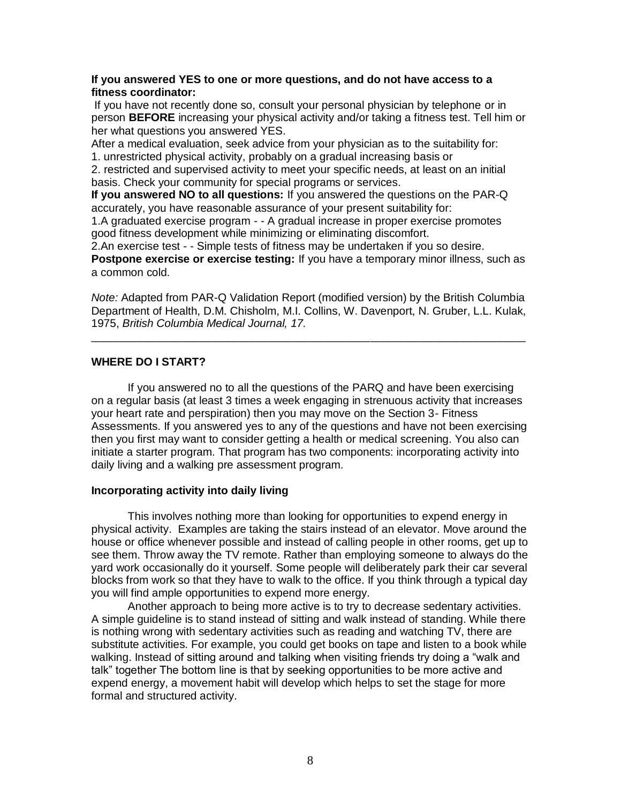### **If you answered YES to one or more questions, and do not have access to a fitness coordinator:**

If you have not recently done so, consult your personal physician by telephone or in person **BEFORE** increasing your physical activity and/or taking a fitness test. Tell him or her what questions you answered YES.

After a medical evaluation, seek advice from your physician as to the suitability for:

1. unrestricted physical activity, probably on a gradual increasing basis or 2. restricted and supervised activity to meet your specific needs, at least on an initial

basis. Check your community for special programs or services.

**If you answered NO to all questions:** If you answered the questions on the PAR-Q accurately, you have reasonable assurance of your present suitability for:

1.A graduated exercise program - - A gradual increase in proper exercise promotes good fitness development while minimizing or eliminating discomfort.

2.An exercise test - - Simple tests of fitness may be undertaken if you so desire. **Postpone exercise or exercise testing:** If you have a temporary minor illness, such as a common cold.

*Note:* Adapted from PAR-Q Validation Report (modified version) by the British Columbia Department of Health, D.M. Chisholm, M.I. Collins, W. Davenport, N. Gruber, L.L. Kulak, 1975, *British Columbia Medical Journal, 17.*

\_\_\_\_\_\_\_\_\_\_\_\_\_\_\_\_\_\_\_\_\_\_\_\_\_\_\_\_\_\_\_\_\_\_\_\_\_\_\_\_\_\_\_\_\_\_\_\_\_\_\_\_\_\_\_\_\_\_\_\_\_\_\_\_\_\_\_\_\_\_

# **WHERE DO I START?**

If you answered no to all the questions of the PARQ and have been exercising on a regular basis (at least 3 times a week engaging in strenuous activity that increases your heart rate and perspiration) then you may move on the Section 3- Fitness Assessments. If you answered yes to any of the questions and have not been exercising then you first may want to consider getting a health or medical screening. You also can initiate a starter program. That program has two components: incorporating activity into daily living and a walking pre assessment program.

# **Incorporating activity into daily living**

This involves nothing more than looking for opportunities to expend energy in physical activity. Examples are taking the stairs instead of an elevator. Move around the house or office whenever possible and instead of calling people in other rooms, get up to see them. Throw away the TV remote. Rather than employing someone to always do the yard work occasionally do it yourself. Some people will deliberately park their car several blocks from work so that they have to walk to the office. If you think through a typical day you will find ample opportunities to expend more energy.

Another approach to being more active is to try to decrease sedentary activities. A simple guideline is to stand instead of sitting and walk instead of standing. While there is nothing wrong with sedentary activities such as reading and watching TV, there are substitute activities. For example, you could get books on tape and listen to a book while walking. Instead of sitting around and talking when visiting friends try doing a "walk and talk" together The bottom line is that by seeking opportunities to be more active and expend energy, a movement habit will develop which helps to set the stage for more formal and structured activity.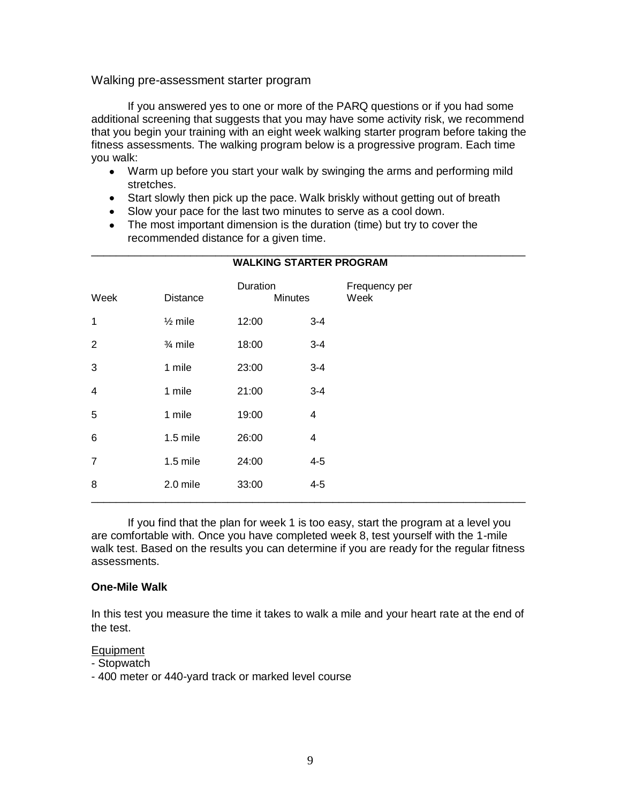#### Walking pre-assessment starter program

If you answered yes to one or more of the PARQ questions or if you had some additional screening that suggests that you may have some activity risk, we recommend that you begin your training with an eight week walking starter program before taking the fitness assessments. The walking program below is a progressive program. Each time you walk:

- Warm up before you start your walk by swinging the arms and performing mild stretches.
- Start slowly then pick up the pace. Walk briskly without getting out of breath
- Slow your pace for the last two minutes to serve as a cool down.
- The most important dimension is the duration (time) but try to cover the recommended distance for a given time.

| Week           | Distance           | Duration<br><b>Minutes</b> |                          | Frequency per<br>Week |
|----------------|--------------------|----------------------------|--------------------------|-----------------------|
| 1              | $\frac{1}{2}$ mile | 12:00                      | $3 - 4$                  |                       |
| 2              | $\frac{3}{4}$ mile | 18:00                      | $3 - 4$                  |                       |
| 3              | 1 mile             | 23:00                      | $3 - 4$                  |                       |
| $\overline{4}$ | 1 mile             | 21:00                      | $3 - 4$                  |                       |
| 5              | 1 mile             | 19:00                      | $\overline{\mathcal{A}}$ |                       |
| $\,6$          | $1.5$ mile         | 26:00                      | 4                        |                       |
| $\overline{7}$ | $1.5$ mile         | 24:00                      | $4 - 5$                  |                       |
| 8              | 2.0 mile           | 33:00                      | $4 - 5$                  |                       |

#### \_\_\_\_\_\_\_\_\_\_\_\_\_\_\_\_\_\_\_\_\_\_\_\_\_\_\_\_\_\_\_\_\_\_\_\_\_\_\_\_\_\_\_\_\_\_\_\_\_\_\_\_\_\_\_\_\_\_\_\_\_\_\_\_\_\_\_\_\_\_ **WALKING STARTER PROGRAM**

If you find that the plan for week 1 is too easy, start the program at a level you are comfortable with. Once you have completed week 8, test yourself with the 1-mile walk test. Based on the results you can determine if you are ready for the regular fitness assessments.

#### **One-Mile Walk**

In this test you measure the time it takes to walk a mile and your heart rate at the end of the test.

#### Equipment

- Stopwatch

- 400 meter or 440-yard track or marked level course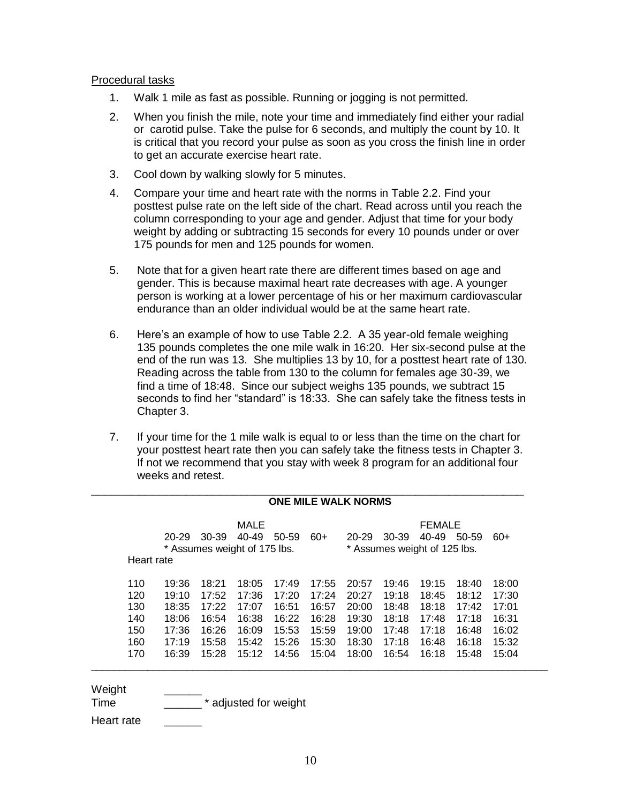#### Procedural tasks

- 1. Walk 1 mile as fast as possible. Running or jogging is not permitted.
- 2. When you finish the mile, note your time and immediately find either your radial or carotid pulse. Take the pulse for 6 seconds, and multiply the count by 10. It is critical that you record your pulse as soon as you cross the finish line in order to get an accurate exercise heart rate.
- 3. Cool down by walking slowly for 5 minutes.
- 4. Compare your time and heart rate with the norms in Table 2.2. Find your posttest pulse rate on the left side of the chart. Read across until you reach the column corresponding to your age and gender. Adjust that time for your body weight by adding or subtracting 15 seconds for every 10 pounds under or over 175 pounds for men and 125 pounds for women.
- 5. Note that for a given heart rate there are different times based on age and gender. This is because maximal heart rate decreases with age. A younger person is working at a lower percentage of his or her maximum cardiovascular endurance than an older individual would be at the same heart rate.
- 6. Here's an example of how to use Table 2.2. A 35 year-old female weighing 135 pounds completes the one mile walk in 16:20. Her six-second pulse at the end of the run was 13. She multiplies 13 by 10, for a posttest heart rate of 130. Reading across the table from 130 to the column for females age 30-39, we find a time of 18:48. Since our subject weighs 135 pounds, we subtract 15 seconds to find her "standard" is 18:33. She can safely take the fitness tests in Chapter 3.
- 7. If your time for the 1 mile walk is equal to or less than the time on the chart for your posttest heart rate then you can safely take the fitness tests in Chapter 3. If not we recommend that you stay with week 8 program for an additional four weeks and retest.

\_\_\_\_\_\_\_\_\_\_\_\_\_\_\_\_\_\_\_\_\_\_\_\_\_\_\_\_\_\_\_\_\_\_\_\_\_\_\_\_\_\_\_\_\_\_\_\_\_\_\_\_\_\_\_\_\_\_\_\_\_\_\_\_

#### **ONE MILE WALK NORMS**

|            | 20-29 | 30-39<br>* Assumes weight of 175 lbs. | MALE<br>40-49 | 50-59 | 60+   | 20-29 | 30-39 | <b>FEMALE</b><br>40-49<br>* Assumes weight of 125 lbs. | 50-59 | -60   |
|------------|-------|---------------------------------------|---------------|-------|-------|-------|-------|--------------------------------------------------------|-------|-------|
| Heart rate |       |                                       |               |       |       |       |       |                                                        |       |       |
| 110        | 19:36 | 18:21                                 | 18:05         | 17:49 | 17:55 | 20:57 | 19:46 | 19:15                                                  | 18:40 | 18:00 |
| 120        | 19:10 | 17:52                                 | 17:36         | 17:20 | 17:24 | 20:27 | 19:18 | 18:45                                                  | 18:12 | 17:30 |
| 130        | 18:35 | 17:22                                 | 17:07         | 16:51 | 16:57 | 20:00 | 18:48 | 18:18                                                  | 17:42 | 17:01 |
| 140        | 18:06 | 16:54                                 | 16:38         | 16:22 | 16:28 | 19:30 | 18:18 | 17:48                                                  | 17:18 | 16:31 |
| 150        | 17:36 | 16:26                                 | 16:09         | 15:53 | 15:59 | 19:00 | 17:48 | 17:18                                                  | 16:48 | 16:02 |
| 160        | 17:19 | 15:58                                 | 15:42         | 15:26 | 15:30 | 18:30 | 17:18 | 16:48                                                  | 16:18 | 15:32 |
| 170        | 16:39 | 15:28                                 | 15:12         | 14:56 | 15:04 | 18:00 | 16:54 | 16:18                                                  | 15:48 | 15:04 |
|            |       |                                       |               |       |       |       |       |                                                        |       |       |

| Weight<br>Time | * adjusted for weight |
|----------------|-----------------------|
| Heart rate     |                       |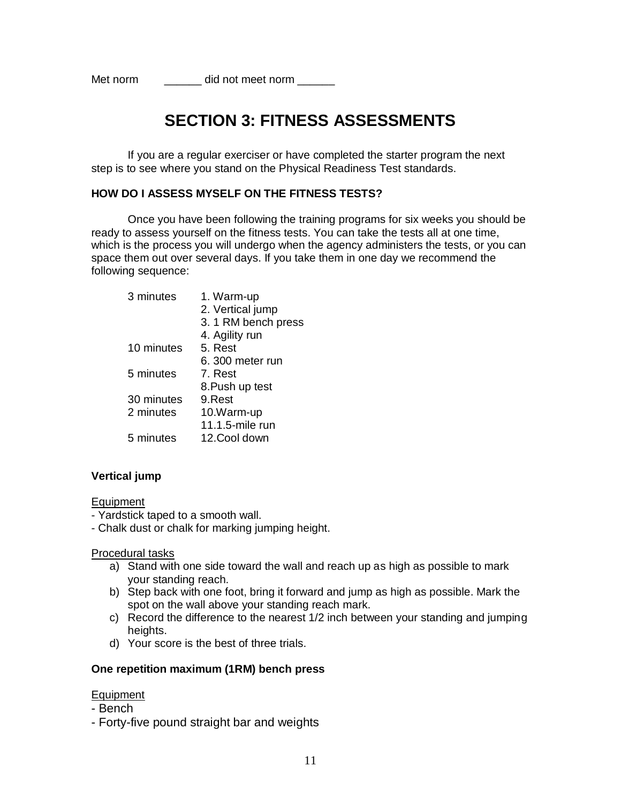Met norm did not meet norm

# **SECTION 3: FITNESS ASSESSMENTS**

If you are a regular exerciser or have completed the starter program the next step is to see where you stand on the Physical Readiness Test standards.

# **HOW DO I ASSESS MYSELF ON THE FITNESS TESTS?**

Once you have been following the training programs for six weeks you should be ready to assess yourself on the fitness tests. You can take the tests all at one time, which is the process you will undergo when the agency administers the tests, or you can space them out over several days. If you take them in one day we recommend the following sequence:

| 3 minutes  | 1. Warm-up          |
|------------|---------------------|
|            | 2. Vertical jump    |
|            | 3. 1 RM bench press |
|            | 4. Agility run      |
| 10 minutes | 5. Rest             |
|            | 6.300 meter run     |
| 5 minutes  | 7. Rest             |
|            | 8. Push up test     |
| 30 minutes | 9.Rest              |
| 2 minutes  | 10. Warm-up         |
|            | 11.1.5-mile run     |
| 5 minutes  | 12.Cool down        |
|            |                     |

#### **Vertical jump**

Equipment

- Yardstick taped to a smooth wall.

- Chalk dust or chalk for marking jumping height.

Procedural tasks

- a) Stand with one side toward the wall and reach up as high as possible to mark your standing reach.
- b) Step back with one foot, bring it forward and jump as high as possible. Mark the spot on the wall above your standing reach mark.
- c) Record the difference to the nearest 1/2 inch between your standing and jumping heights.
- d) Your score is the best of three trials.

#### **One repetition maximum (1RM) bench press**

Equipment

- Bench
- Forty-five pound straight bar and weights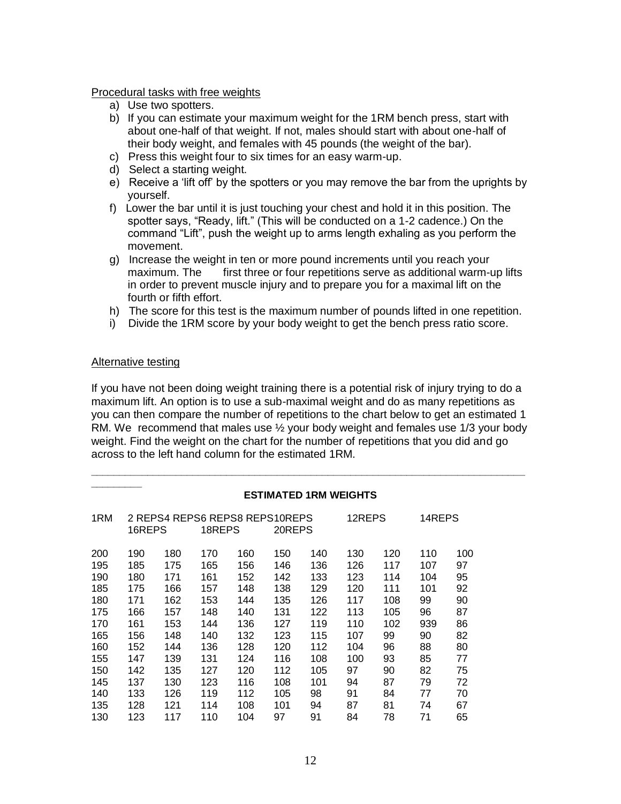Procedural tasks with free weights

- a) Use two spotters.
- b) If you can estimate your maximum weight for the 1RM bench press, start with about one-half of that weight. If not, males should start with about one-half of their body weight, and females with 45 pounds (the weight of the bar).
- c) Press this weight four to six times for an easy warm-up.
- d) Select a starting weight.
- e) Receive a 'lift off' by the spotters or you may remove the bar from the uprights by yourself.
- f) Lower the bar until it is just touching your chest and hold it in this position. The spotter says, "Ready, lift." (This will be conducted on a 1-2 cadence.) On the command "Lift", push the weight up to arms length exhaling as you perform the movement.
- g) Increase the weight in ten or more pound increments until you reach your maximum. The first three or four repetitions serve as additional warm-up lifts in order to prevent muscle injury and to prepare you for a maximal lift on the fourth or fifth effort.
- h) The score for this test is the maximum number of pounds lifted in one repetition.
- i) Divide the 1RM score by your body weight to get the bench press ratio score.

#### Alternative testing

**\_\_\_\_\_\_\_\_\_**

If you have not been doing weight training there is a potential risk of injury trying to do a maximum lift. An option is to use a sub-maximal weight and do as many repetitions as you can then compare the number of repetitions to the chart below to get an estimated 1 RM. We recommend that males use ½ your body weight and females use 1/3 your body weight. Find the weight on the chart for the number of repetitions that you did and go across to the left hand column for the estimated 1RM.

#### **ESTIMATED 1RM WEIGHTS**

**\_\_\_\_\_\_\_\_\_\_\_\_\_\_\_\_\_\_\_\_\_\_\_\_\_\_\_\_\_\_\_\_\_\_\_\_\_\_\_\_\_\_\_\_\_\_\_\_\_\_\_\_\_\_\_\_\_\_\_\_\_\_\_\_\_\_\_\_\_\_\_\_\_\_\_\_\_**

| 1RM | 2 REPS4 REPS6 REPS8 REPS10REPS |     |        |     |        |     | 12REPS |     |     | 14REPS |  |
|-----|--------------------------------|-----|--------|-----|--------|-----|--------|-----|-----|--------|--|
|     | 16REPS                         |     | 18REPS |     | 20REPS |     |        |     |     |        |  |
| 200 | 190                            | 180 | 170    | 160 | 150    | 140 | 130    | 120 | 110 | 100    |  |
| 195 | 185                            | 175 | 165    | 156 | 146    | 136 | 126    | 117 | 107 | 97     |  |
| 190 | 180                            | 171 | 161    | 152 | 142    | 133 | 123    | 114 | 104 | 95     |  |
| 185 | 175                            | 166 | 157    | 148 | 138    | 129 | 120    | 111 | 101 | 92     |  |
| 180 | 171                            | 162 | 153    | 144 | 135    | 126 | 117    | 108 | 99  | 90     |  |
| 175 | 166                            | 157 | 148    | 140 | 131    | 122 | 113    | 105 | 96  | 87     |  |
| 170 | 161                            | 153 | 144    | 136 | 127    | 119 | 110    | 102 | 939 | 86     |  |
| 165 | 156                            | 148 | 140    | 132 | 123    | 115 | 107    | 99  | 90  | 82     |  |
| 160 | 152                            | 144 | 136    | 128 | 120    | 112 | 104    | 96  | 88  | 80     |  |
| 155 | 147                            | 139 | 131    | 124 | 116    | 108 | 100    | 93  | 85  | 77     |  |
| 150 | 142                            | 135 | 127    | 120 | 112    | 105 | 97     | 90  | 82  | 75     |  |
| 145 | 137                            | 130 | 123    | 116 | 108    | 101 | 94     | 87  | 79  | 72     |  |
| 140 | 133                            | 126 | 119    | 112 | 105    | 98  | 91     | 84  | 77  | 70     |  |
| 135 | 128                            | 121 | 114    | 108 | 101    | 94  | 87     | 81  | 74  | 67     |  |
| 130 | 123                            | 117 | 110    | 104 | 97     | 91  | 84     | 78  | 71  | 65     |  |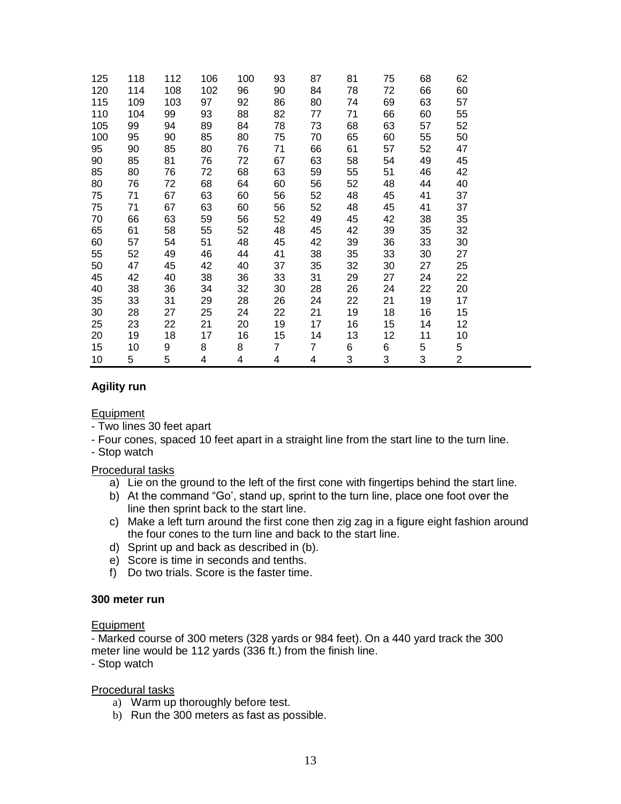| 125 | 118 | 112 | 106 | 100 | 93             | 87             | 81 | 75              | 68 | 62             |
|-----|-----|-----|-----|-----|----------------|----------------|----|-----------------|----|----------------|
| 120 | 114 | 108 | 102 | 96  | 90             | 84             | 78 | 72              | 66 | 60             |
| 115 | 109 | 103 | 97  | 92  | 86             | 80             | 74 | 69              | 63 | 57             |
| 110 | 104 | 99  | 93  | 88  | 82             | 77             | 71 | 66              | 60 | 55             |
| 105 | 99  | 94  | 89  | 84  | 78             | 73             | 68 | 63              | 57 | 52             |
| 100 | 95  | 90  | 85  | 80  | 75             | 70             | 65 | 60              | 55 | 50             |
| 95  | 90  | 85  | 80  | 76  | 71             | 66             | 61 | 57              | 52 | 47             |
| 90  | 85  | 81  | 76  | 72  | 67             | 63             | 58 | 54              | 49 | 45             |
| 85  | 80  | 76  | 72  | 68  | 63             | 59             | 55 | 51              | 46 | 42             |
| 80  | 76  | 72  | 68  | 64  | 60             | 56             | 52 | 48              | 44 | 40             |
| 75  | 71  | 67  | 63  | 60  | 56             | 52             | 48 | 45              | 41 | 37             |
| 75  | 71  | 67  | 63  | 60  | 56             | 52             | 48 | 45              | 41 | 37             |
| 70  | 66  | 63  | 59  | 56  | 52             | 49             | 45 | 42              | 38 | 35             |
| 65  | 61  | 58  | 55  | 52  | 48             | 45             | 42 | 39              | 35 | 32             |
| 60  | 57  | 54  | 51  | 48  | 45             | 42             | 39 | 36              | 33 | 30             |
| 55  | 52  | 49  | 46  | 44  | 41             | 38             | 35 | 33              | 30 | 27             |
| 50  | 47  | 45  | 42  | 40  | 37             | 35             | 32 | 30              | 27 | 25             |
| 45  | 42  | 40  | 38  | 36  | 33             | 31             | 29 | 27              | 24 | 22             |
| 40  | 38  | 36  | 34  | 32  | 30             | 28             | 26 | 24              | 22 | 20             |
| 35  | 33  | 31  | 29  | 28  | 26             | 24             | 22 | 21              | 19 | 17             |
| 30  | 28  | 27  | 25  | 24  | 22             | 21             | 19 | 18              | 16 | 15             |
| 25  | 23  | 22  | 21  | 20  | 19             | 17             | 16 | 15              | 14 | 12             |
| 20  | 19  | 18  | 17  | 16  | 15             | 14             | 13 | 12 <sub>2</sub> | 11 | 10             |
| 15  | 10  | 9   | 8   | 8   | 7 <sup>7</sup> | $\overline{7}$ | 6  | 6               | 5  | 5              |
| 10  | 5   | 5   | 4   | 4   | 4              | 4              | 3  | 3               | 3  | $\overline{2}$ |

# **Agility run**

**Equipment** 

- Two lines 30 feet apart

- Four cones, spaced 10 feet apart in a straight line from the start line to the turn line.

- Stop watch

#### Procedural tasks

- a) Lie on the ground to the left of the first cone with fingertips behind the start line.
- b) At the command "Go', stand up, sprint to the turn line, place one foot over the line then sprint back to the start line.
- c) Make a left turn around the first cone then zig zag in a figure eight fashion around the four cones to the turn line and back to the start line.
- d) Sprint up and back as described in (b).
- e) Score is time in seconds and tenths.
- f) Do two trials. Score is the faster time.

#### **300 meter run**

Equipment

- Marked course of 300 meters (328 yards or 984 feet). On a 440 yard track the 300 meter line would be 112 yards (336 ft.) from the finish line.

- Stop watch

#### Procedural tasks

- a) Warm up thoroughly before test.
- b) Run the 300 meters as fast as possible.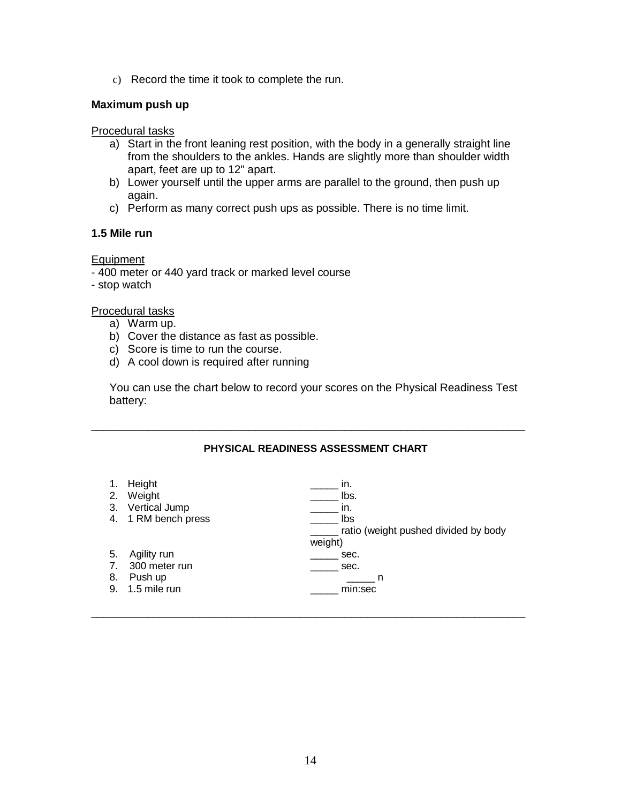c) Record the time it took to complete the run.

### **Maximum push up**

#### Procedural tasks

- a) Start in the front leaning rest position, with the body in a generally straight line from the shoulders to the ankles. Hands are slightly more than shoulder width apart, feet are up to 12" apart.
- b) Lower yourself until the upper arms are parallel to the ground, then push up again.
- c) Perform as many correct push ups as possible. There is no time limit.

# **1.5 Mile run**

Equipment

- 400 meter or 440 yard track or marked level course
- stop watch

#### Procedural tasks

- a) Warm up.
- b) Cover the distance as fast as possible.
- c) Score is time to run the course.
- d) A cool down is required after running

You can use the chart below to record your scores on the Physical Readiness Test battery:

#### **PHYSICAL READINESS ASSESSMENT CHART**

 $\_$  ,  $\_$  ,  $\_$  ,  $\_$  ,  $\_$  ,  $\_$  ,  $\_$  ,  $\_$  ,  $\_$  ,  $\_$  ,  $\_$  ,  $\_$  ,  $\_$  ,  $\_$  ,  $\_$  ,  $\_$  ,  $\_$  ,  $\_$  ,  $\_$  ,  $\_$  ,  $\_$  ,  $\_$  ,  $\_$  ,  $\_$  ,  $\_$  ,  $\_$  ,  $\_$  ,  $\_$  ,  $\_$  ,  $\_$  ,  $\_$  ,  $\_$  ,  $\_$  ,  $\_$  ,  $\_$  ,  $\_$  ,  $\_$  ,

| 2.<br>3. | Height<br>Weight<br>Vertical Jump<br>4. 1 RM bench press | in.<br>lbs.<br>in.<br>Ibs<br>ratio (weight pushed divided by body |
|----------|----------------------------------------------------------|-------------------------------------------------------------------|
|          |                                                          | weight)                                                           |
| 5.       | Agility run                                              | sec.                                                              |
| 7.       | 300 meter run                                            | sec.                                                              |
| 8.       | Push up                                                  |                                                                   |
| 9.       | 1.5 mile run                                             | min:sec                                                           |

 $\_$  ,  $\_$  ,  $\_$  ,  $\_$  ,  $\_$  ,  $\_$  ,  $\_$  ,  $\_$  ,  $\_$  ,  $\_$  ,  $\_$  ,  $\_$  ,  $\_$  ,  $\_$  ,  $\_$  ,  $\_$  ,  $\_$  ,  $\_$  ,  $\_$  ,  $\_$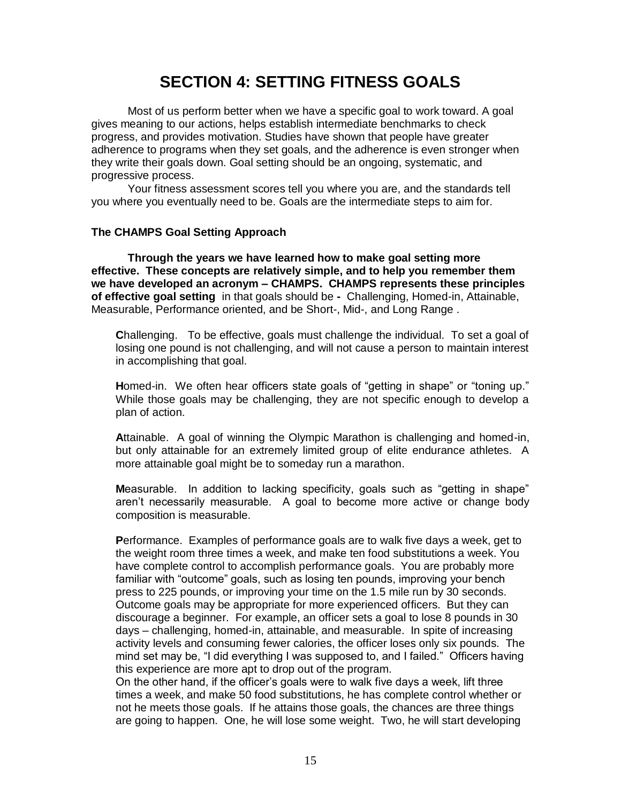# **SECTION 4: SETTING FITNESS GOALS**

Most of us perform better when we have a specific goal to work toward. A goal gives meaning to our actions, helps establish intermediate benchmarks to check progress, and provides motivation. Studies have shown that people have greater adherence to programs when they set goals, and the adherence is even stronger when they write their goals down. Goal setting should be an ongoing, systematic, and progressive process.

Your fitness assessment scores tell you where you are, and the standards tell you where you eventually need to be. Goals are the intermediate steps to aim for.

#### **The CHAMPS Goal Setting Approach**

**Through the years we have learned how to make goal setting more effective. These concepts are relatively simple, and to help you remember them we have developed an acronym – CHAMPS. CHAMPS represents these principles of effective goal setting** in that goals should be **-** Challenging, Homed-in, Attainable, Measurable, Performance oriented, and be Short-, Mid-, and Long Range .

**C**hallenging. To be effective, goals must challenge the individual. To set a goal of losing one pound is not challenging, and will not cause a person to maintain interest in accomplishing that goal.

**H**omed-in. We often hear officers state goals of "getting in shape" or "toning up." While those goals may be challenging, they are not specific enough to develop a plan of action.

**A**ttainable. A goal of winning the Olympic Marathon is challenging and homed-in, but only attainable for an extremely limited group of elite endurance athletes. A more attainable goal might be to someday run a marathon.

**M**easurable. In addition to lacking specificity, goals such as "getting in shape" aren't necessarily measurable. A goal to become more active or change body composition is measurable.

**P**erformance. Examples of performance goals are to walk five days a week, get to the weight room three times a week, and make ten food substitutions a week. You have complete control to accomplish performance goals. You are probably more familiar with "outcome" goals, such as losing ten pounds, improving your bench press to 225 pounds, or improving your time on the 1.5 mile run by 30 seconds. Outcome goals may be appropriate for more experienced officers. But they can discourage a beginner. For example, an officer sets a goal to lose 8 pounds in 30 days – challenging, homed-in, attainable, and measurable. In spite of increasing activity levels and consuming fewer calories, the officer loses only six pounds. The mind set may be, "I did everything I was supposed to, and I failed." Officers having this experience are more apt to drop out of the program.

On the other hand, if the officer's goals were to walk five days a week, lift three times a week, and make 50 food substitutions, he has complete control whether or not he meets those goals. If he attains those goals, the chances are three things are going to happen. One, he will lose some weight. Two, he will start developing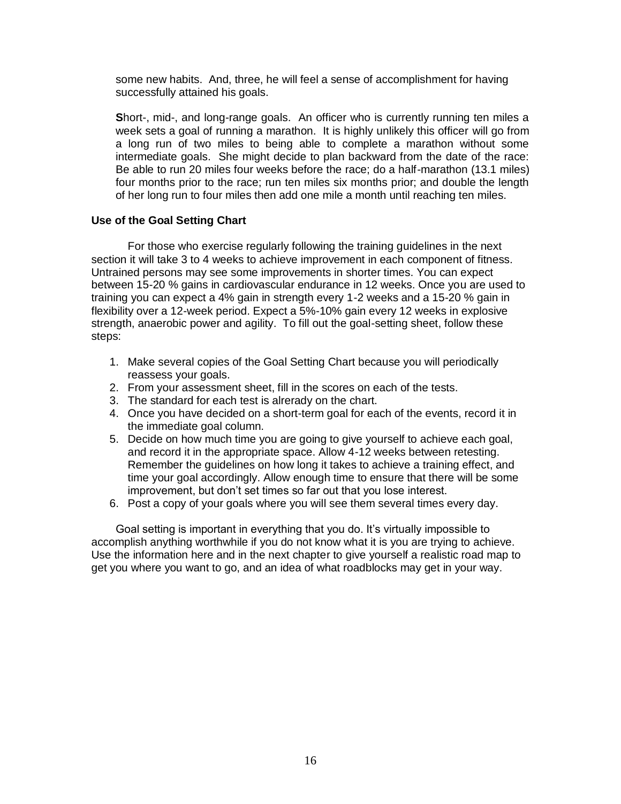some new habits. And, three, he will feel a sense of accomplishment for having successfully attained his goals.

**S**hort-, mid-, and long-range goals. An officer who is currently running ten miles a week sets a goal of running a marathon. It is highly unlikely this officer will go from a long run of two miles to being able to complete a marathon without some intermediate goals. She might decide to plan backward from the date of the race: Be able to run 20 miles four weeks before the race; do a half-marathon (13.1 miles) four months prior to the race; run ten miles six months prior; and double the length of her long run to four miles then add one mile a month until reaching ten miles.

### **Use of the Goal Setting Chart**

For those who exercise regularly following the training guidelines in the next section it will take 3 to 4 weeks to achieve improvement in each component of fitness. Untrained persons may see some improvements in shorter times. You can expect between 15-20 % gains in cardiovascular endurance in 12 weeks. Once you are used to training you can expect a 4% gain in strength every 1-2 weeks and a 15-20 % gain in flexibility over a 12-week period. Expect a 5%-10% gain every 12 weeks in explosive strength, anaerobic power and agility. To fill out the goal-setting sheet, follow these steps:

- 1. Make several copies of the Goal Setting Chart because you will periodically reassess your goals.
- 2. From your assessment sheet, fill in the scores on each of the tests.
- 3. The standard for each test is alrerady on the chart.
- 4. Once you have decided on a short-term goal for each of the events, record it in the immediate goal column.
- 5. Decide on how much time you are going to give yourself to achieve each goal, and record it in the appropriate space. Allow 4-12 weeks between retesting. Remember the guidelines on how long it takes to achieve a training effect, and time your goal accordingly. Allow enough time to ensure that there will be some improvement, but don't set times so far out that you lose interest.
- 6. Post a copy of your goals where you will see them several times every day.

Goal setting is important in everything that you do. It's virtually impossible to accomplish anything worthwhile if you do not know what it is you are trying to achieve. Use the information here and in the next chapter to give yourself a realistic road map to get you where you want to go, and an idea of what roadblocks may get in your way.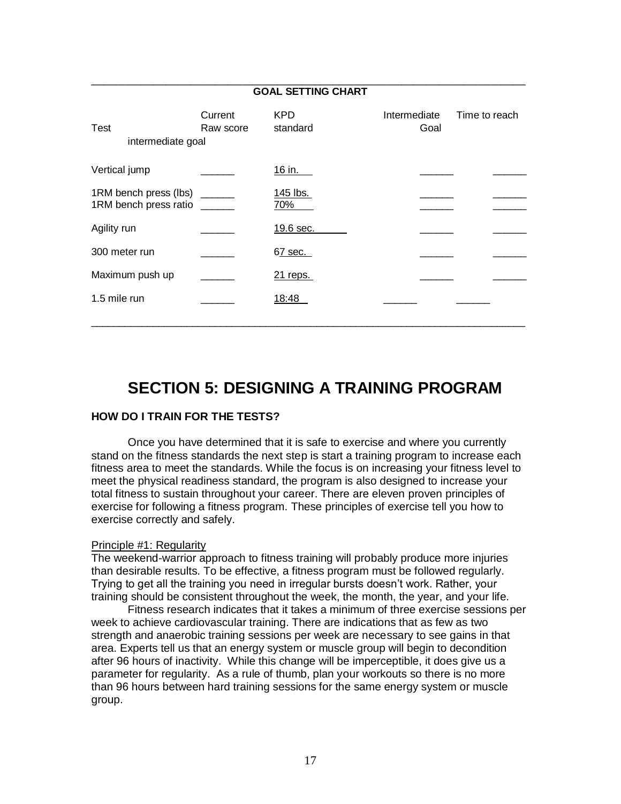|                                                       | <b>GOAL SETTING CHART</b> |                        |                      |               |  |  |  |  |
|-------------------------------------------------------|---------------------------|------------------------|----------------------|---------------|--|--|--|--|
| <b>Test</b><br>intermediate goal                      | Current<br>Raw score      | <b>KPD</b><br>standard | Intermediate<br>Goal | Time to reach |  |  |  |  |
| Vertical jump                                         |                           | 16 in.                 |                      |               |  |  |  |  |
| 1RM bench press (lbs) ______<br>1RM bench press ratio |                           | 145 lbs.<br>70%        |                      |               |  |  |  |  |
| Agility run                                           |                           | <u> 19.6 sec. </u>     |                      |               |  |  |  |  |
| 300 meter run                                         |                           | 67 sec.                |                      |               |  |  |  |  |
| Maximum push up                                       |                           | 21 reps.               |                      |               |  |  |  |  |
| 1.5 mile run                                          |                           | 18:48                  |                      |               |  |  |  |  |

# **SECTION 5: DESIGNING A TRAINING PROGRAM**

# **HOW DO I TRAIN FOR THE TESTS?**

Once you have determined that it is safe to exercise and where you currently stand on the fitness standards the next step is start a training program to increase each fitness area to meet the standards. While the focus is on increasing your fitness level to meet the physical readiness standard, the program is also designed to increase your total fitness to sustain throughout your career. There are eleven proven principles of exercise for following a fitness program. These principles of exercise tell you how to exercise correctly and safely.

#### Principle #1: Regularity

The weekend-warrior approach to fitness training will probably produce more injuries than desirable results. To be effective, a fitness program must be followed regularly. Trying to get all the training you need in irregular bursts doesn't work. Rather, your training should be consistent throughout the week, the month, the year, and your life.

Fitness research indicates that it takes a minimum of three exercise sessions per week to achieve cardiovascular training. There are indications that as few as two strength and anaerobic training sessions per week are necessary to see gains in that area. Experts tell us that an energy system or muscle group will begin to decondition after 96 hours of inactivity. While this change will be imperceptible, it does give us a parameter for regularity. As a rule of thumb, plan your workouts so there is no more than 96 hours between hard training sessions for the same energy system or muscle group.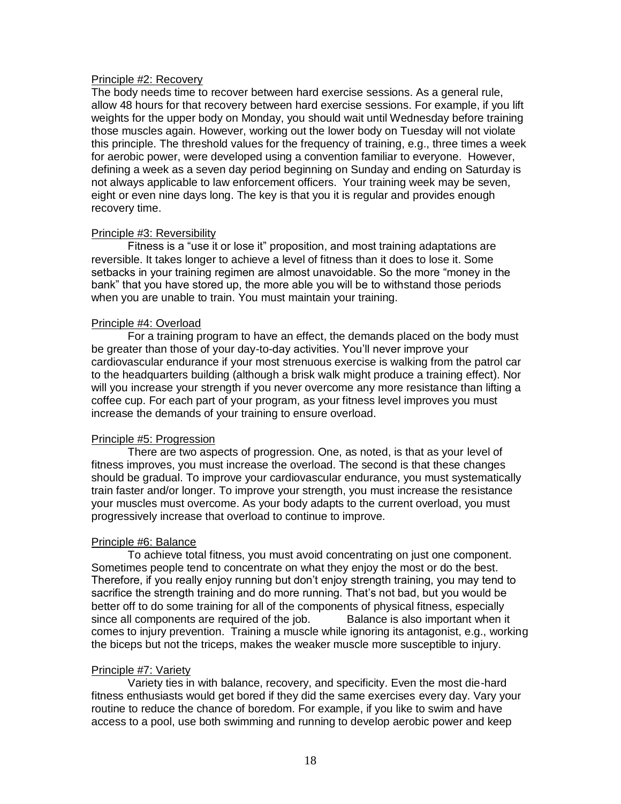#### Principle #2: Recovery

The body needs time to recover between hard exercise sessions. As a general rule, allow 48 hours for that recovery between hard exercise sessions. For example, if you lift weights for the upper body on Monday, you should wait until Wednesday before training those muscles again. However, working out the lower body on Tuesday will not violate this principle. The threshold values for the frequency of training, e.g., three times a week for aerobic power, were developed using a convention familiar to everyone. However, defining a week as a seven day period beginning on Sunday and ending on Saturday is not always applicable to law enforcement officers. Your training week may be seven, eight or even nine days long. The key is that you it is regular and provides enough recovery time.

#### Principle #3: Reversibility

Fitness is a "use it or lose it" proposition, and most training adaptations are reversible. It takes longer to achieve a level of fitness than it does to lose it. Some setbacks in your training regimen are almost unavoidable. So the more "money in the bank" that you have stored up, the more able you will be to withstand those periods when you are unable to train. You must maintain your training.

#### Principle #4: Overload

For a training program to have an effect, the demands placed on the body must be greater than those of your day-to-day activities. You'll never improve your cardiovascular endurance if your most strenuous exercise is walking from the patrol car to the headquarters building (although a brisk walk might produce a training effect). Nor will you increase your strength if you never overcome any more resistance than lifting a coffee cup. For each part of your program, as your fitness level improves you must increase the demands of your training to ensure overload.

#### Principle #5: Progression

There are two aspects of progression. One, as noted, is that as your level of fitness improves, you must increase the overload. The second is that these changes should be gradual. To improve your cardiovascular endurance, you must systematically train faster and/or longer. To improve your strength, you must increase the resistance your muscles must overcome. As your body adapts to the current overload, you must progressively increase that overload to continue to improve.

#### Principle #6: Balance

To achieve total fitness, you must avoid concentrating on just one component. Sometimes people tend to concentrate on what they enjoy the most or do the best. Therefore, if you really enjoy running but don't enjoy strength training, you may tend to sacrifice the strength training and do more running. That's not bad, but you would be better off to do some training for all of the components of physical fitness, especially since all components are required of the job. Balance is also important when it comes to injury prevention. Training a muscle while ignoring its antagonist, e.g., working the biceps but not the triceps, makes the weaker muscle more susceptible to injury.

#### Principle #7: Variety

Variety ties in with balance, recovery, and specificity. Even the most die-hard fitness enthusiasts would get bored if they did the same exercises every day. Vary your routine to reduce the chance of boredom. For example, if you like to swim and have access to a pool, use both swimming and running to develop aerobic power and keep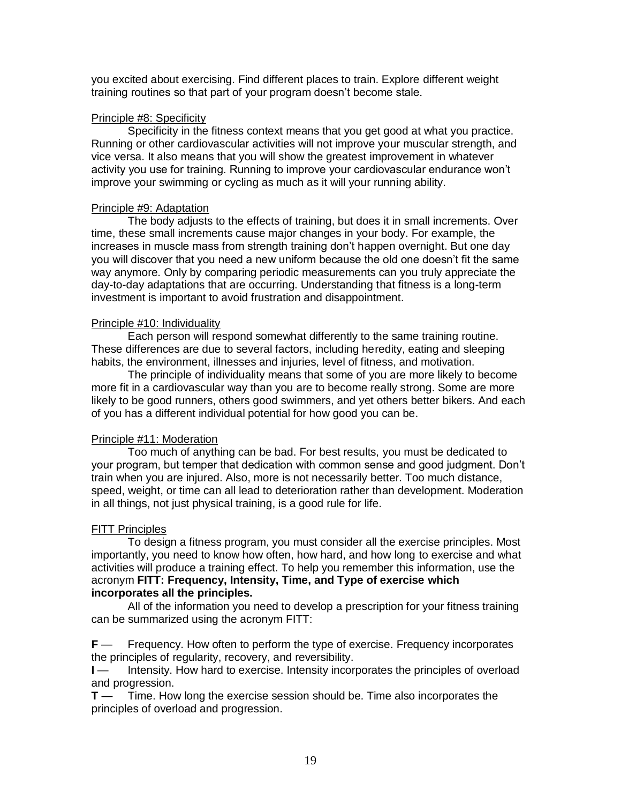you excited about exercising. Find different places to train. Explore different weight training routines so that part of your program doesn't become stale.

#### Principle #8: Specificity

Specificity in the fitness context means that you get good at what you practice. Running or other cardiovascular activities will not improve your muscular strength, and vice versa. It also means that you will show the greatest improvement in whatever activity you use for training. Running to improve your cardiovascular endurance won't improve your swimming or cycling as much as it will your running ability.

### Principle #9: Adaptation

The body adjusts to the effects of training, but does it in small increments. Over time, these small increments cause major changes in your body. For example, the increases in muscle mass from strength training don't happen overnight. But one day you will discover that you need a new uniform because the old one doesn't fit the same way anymore. Only by comparing periodic measurements can you truly appreciate the day-to-day adaptations that are occurring. Understanding that fitness is a long-term investment is important to avoid frustration and disappointment.

### Principle #10: Individuality

Each person will respond somewhat differently to the same training routine. These differences are due to several factors, including heredity, eating and sleeping habits, the environment, illnesses and injuries, level of fitness, and motivation.

The principle of individuality means that some of you are more likely to become more fit in a cardiovascular way than you are to become really strong. Some are more likely to be good runners, others good swimmers, and yet others better bikers. And each of you has a different individual potential for how good you can be.

# Principle #11: Moderation

Too much of anything can be bad. For best results, you must be dedicated to your program, but temper that dedication with common sense and good judgment. Don't train when you are injured. Also, more is not necessarily better. Too much distance, speed, weight, or time can all lead to deterioration rather than development. Moderation in all things, not just physical training, is a good rule for life.

# FITT Principles

To design a fitness program, you must consider all the exercise principles. Most importantly, you need to know how often, how hard, and how long to exercise and what activities will produce a training effect. To help you remember this information, use the acronym **FITT: Frequency, Intensity, Time, and Type of exercise which incorporates all the principles.**

All of the information you need to develop a prescription for your fitness training can be summarized using the acronym FITT:

**F** — Frequency. How often to perform the type of exercise. Frequency incorporates the principles of regularity, recovery, and reversibility.

**I** — Intensity. How hard to exercise. Intensity incorporates the principles of overload and progression.

**T** — Time. How long the exercise session should be. Time also incorporates the principles of overload and progression.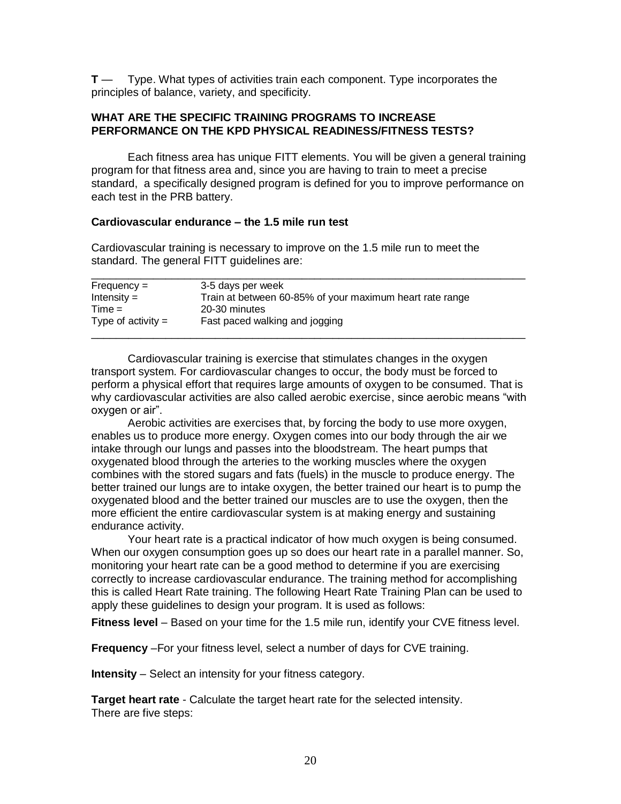**T** — Type. What types of activities train each component. Type incorporates the principles of balance, variety, and specificity.

### **WHAT ARE THE SPECIFIC TRAINING PROGRAMS TO INCREASE PERFORMANCE ON THE KPD PHYSICAL READINESS/FITNESS TESTS?**

Each fitness area has unique FITT elements. You will be given a general training program for that fitness area and, since you are having to train to meet a precise standard, a specifically designed program is defined for you to improve performance on each test in the PRB battery.

#### **Cardiovascular endurance – the 1.5 mile run test**

Cardiovascular training is necessary to improve on the 1.5 mile run to meet the standard. The general FITT guidelines are:

| $Frequency =$             | 3-5 days per week                                                         |
|---------------------------|---------------------------------------------------------------------------|
| Intensity $=$<br>$Time =$ | Train at between 60-85% of your maximum heart rate range<br>20-30 minutes |
| Type of activity $=$      | Fast paced walking and jogging                                            |

Cardiovascular training is exercise that stimulates changes in the oxygen transport system. For cardiovascular changes to occur, the body must be forced to perform a physical effort that requires large amounts of oxygen to be consumed. That is why cardiovascular activities are also called aerobic exercise, since aerobic means "with oxygen or air".

Aerobic activities are exercises that, by forcing the body to use more oxygen, enables us to produce more energy. Oxygen comes into our body through the air we intake through our lungs and passes into the bloodstream. The heart pumps that oxygenated blood through the arteries to the working muscles where the oxygen combines with the stored sugars and fats (fuels) in the muscle to produce energy. The better trained our lungs are to intake oxygen, the better trained our heart is to pump the oxygenated blood and the better trained our muscles are to use the oxygen, then the more efficient the entire cardiovascular system is at making energy and sustaining endurance activity.

Your heart rate is a practical indicator of how much oxygen is being consumed. When our oxygen consumption goes up so does our heart rate in a parallel manner. So, monitoring your heart rate can be a good method to determine if you are exercising correctly to increase cardiovascular endurance. The training method for accomplishing this is called Heart Rate training. The following Heart Rate Training Plan can be used to apply these guidelines to design your program. It is used as follows:

**Fitness level** – Based on your time for the 1.5 mile run, identify your CVE fitness level.

**Frequency** –For your fitness level, select a number of days for CVE training.

**Intensity** – Select an intensity for your fitness category.

**Target heart rate** - Calculate the target heart rate for the selected intensity. There are five steps: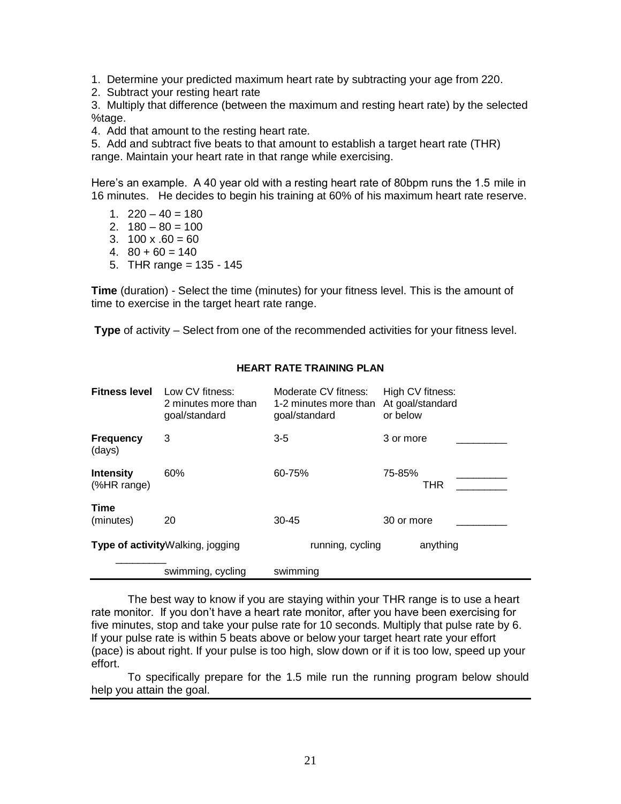1. Determine your predicted maximum heart rate by subtracting your age from 220.

2. Subtract your resting heart rate

3. Multiply that difference (between the maximum and resting heart rate) by the selected %tage.

4. Add that amount to the resting heart rate.

5. Add and subtract five beats to that amount to establish a target heart rate (THR) range. Maintain your heart rate in that range while exercising.

Here's an example. A 40 year old with a resting heart rate of 80bpm runs the 1.5 mile in 16 minutes. He decides to begin his training at 60% of his maximum heart rate reserve.

- 1.  $220 40 = 180$
- 2.  $180 80 = 100$
- 3.  $100 \times .60 = 60$
- 4.  $80 + 60 = 140$
- 5. THR range = 135 145

**Time** (duration) - Select the time (minutes) for your fitness level. This is the amount of time to exercise in the target heart rate range.

**Type** of activity – Select from one of the recommended activities for your fitness level.

| <b>Fitness level</b>            | Low CV fitness:<br>2 minutes more than<br>goal/standard | Moderate CV fitness:<br>1-2 minutes more than<br>goal/standard | High CV fitness:<br>At goal/standard<br>or below |
|---------------------------------|---------------------------------------------------------|----------------------------------------------------------------|--------------------------------------------------|
| <b>Frequency</b><br>(days)      | 3                                                       | $3 - 5$                                                        | 3 or more                                        |
| <b>Intensity</b><br>(%HR range) | 60%                                                     | 60-75%                                                         | 75-85%<br><b>THR</b>                             |
| <b>Time</b><br>(minutes)        | 20                                                      | $30 - 45$                                                      | 30 or more                                       |
|                                 | <b>Type of activity</b> Walking, jogging                | running, cycling                                               | anything                                         |
|                                 | swimming, cycling                                       | swimming                                                       |                                                  |

#### **HEART RATE TRAINING PLAN**

The best way to know if you are staying within your THR range is to use a heart rate monitor. If you don't have a heart rate monitor, after you have been exercising for five minutes, stop and take your pulse rate for 10 seconds. Multiply that pulse rate by 6. If your pulse rate is within 5 beats above or below your target heart rate your effort (pace) is about right. If your pulse is too high, slow down or if it is too low, speed up your effort.

To specifically prepare for the 1.5 mile run the running program below should help you attain the goal.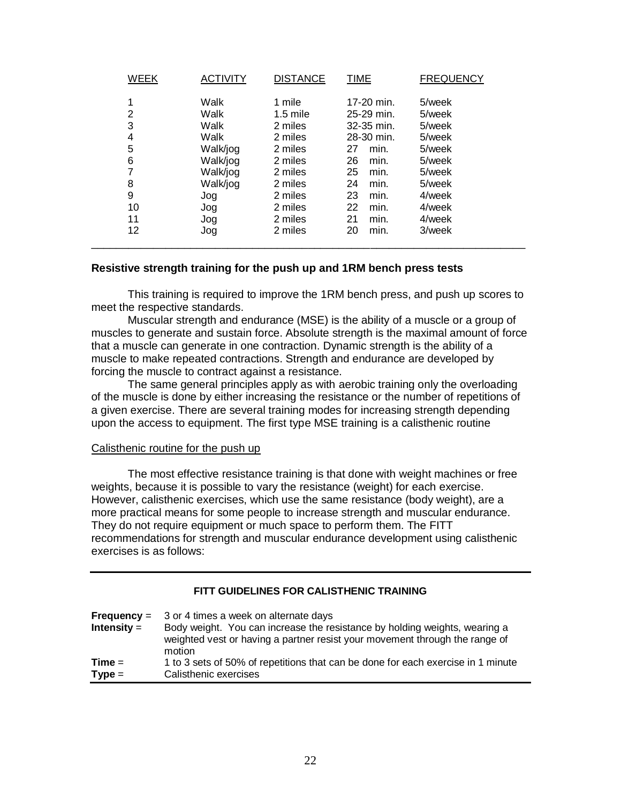| <b>WEEK</b> | <b>ACTIVITY</b> | <b>DISTANCE</b> | <b>TIME</b> | <b>FREQUENCY</b> |
|-------------|-----------------|-----------------|-------------|------------------|
| 1           | Walk            | 1 mile          | 17-20 min.  | 5/week           |
| 2           | Walk            | $1.5$ mile      | 25-29 min.  | 5/week           |
| 3           | Walk            | 2 miles         | 32-35 min.  | 5/week           |
| 4           | Walk            | 2 miles         | 28-30 min.  | 5/week           |
| 5           | Walk/jog        | 2 miles         | 27<br>min.  | 5/week           |
| 6           | Walk/jog        | 2 miles         | 26<br>min.  | 5/week           |
| 7           | Walk/jog        | 2 miles         | min.<br>25  | 5/week           |
| 8           | Walk/jog        | 2 miles         | 24<br>min.  | 5/week           |
| 9           | Jog             | 2 miles         | 23<br>min.  | 4/week           |
| 10          | Jog             | 2 miles         | 22<br>min.  | 4/week           |
| 11          | Jog             | 2 miles         | 21<br>min.  | 4/week           |
| 12          | Jog             | 2 miles         | 20<br>min.  | 3/week           |
|             |                 |                 |             |                  |

#### **Resistive strength training for the push up and 1RM bench press tests**

This training is required to improve the 1RM bench press, and push up scores to meet the respective standards.

Muscular strength and endurance (MSE) is the ability of a muscle or a group of muscles to generate and sustain force. Absolute strength is the maximal amount of force that a muscle can generate in one contraction. Dynamic strength is the ability of a muscle to make repeated contractions. Strength and endurance are developed by forcing the muscle to contract against a resistance.

The same general principles apply as with aerobic training only the overloading of the muscle is done by either increasing the resistance or the number of repetitions of a given exercise. There are several training modes for increasing strength depending upon the access to equipment. The first type MSE training is a calisthenic routine

#### Calisthenic routine for the push up

The most effective resistance training is that done with weight machines or free weights, because it is possible to vary the resistance (weight) for each exercise. However, calisthenic exercises, which use the same resistance (body weight), are a more practical means for some people to increase strength and muscular endurance. They do not require equipment or much space to perform them. The FITT recommendations for strength and muscular endurance development using calisthenic exercises is as follows:

#### **FITT GUIDELINES FOR CALISTHENIC TRAINING**

| $Frequency =$ | 3 or 4 times a week on alternate days                                                                                                                               |
|---------------|---------------------------------------------------------------------------------------------------------------------------------------------------------------------|
| Intensity $=$ | Body weight. You can increase the resistance by holding weights, wearing a<br>weighted vest or having a partner resist your movement through the range of<br>motion |
| $Time =$      | 1 to 3 sets of 50% of repetitions that can be done for each exercise in 1 minute                                                                                    |
| $Type =$      | Calisthenic exercises                                                                                                                                               |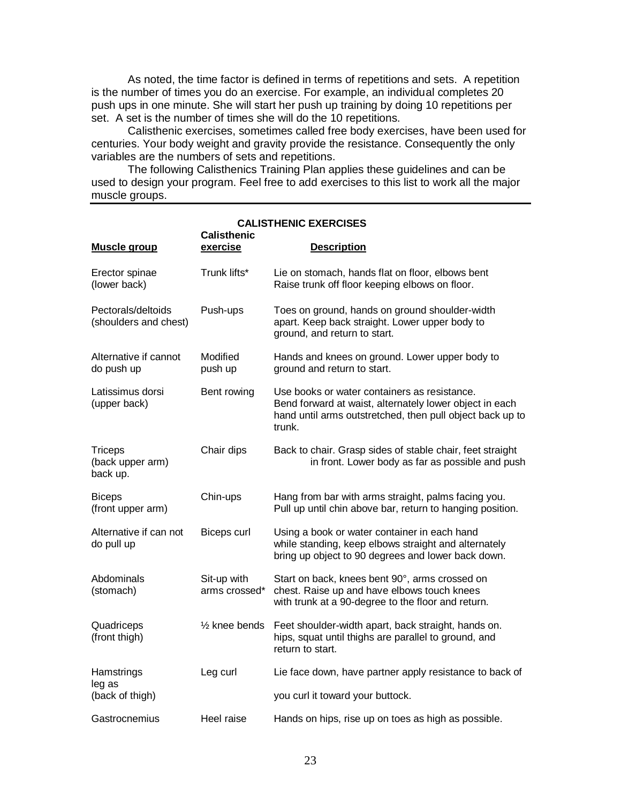As noted, the time factor is defined in terms of repetitions and sets. A repetition is the number of times you do an exercise. For example, an individual completes 20 push ups in one minute. She will start her push up training by doing 10 repetitions per set. A set is the number of times she will do the 10 repetitions.

Calisthenic exercises, sometimes called free body exercises, have been used for centuries. Your body weight and gravity provide the resistance. Consequently the only variables are the numbers of sets and repetitions.

The following Calisthenics Training Plan applies these guidelines and can be used to design your program. Feel free to add exercises to this list to work all the major muscle groups.

|                                                | <b>CALISTHENIC EXERCISES</b>   |                                                                                                                                                                                |  |  |  |
|------------------------------------------------|--------------------------------|--------------------------------------------------------------------------------------------------------------------------------------------------------------------------------|--|--|--|
| <b>Muscle group</b>                            | <b>Calisthenic</b><br>exercise | <b>Description</b>                                                                                                                                                             |  |  |  |
| Erector spinae<br>(lower back)                 | Trunk lifts*                   | Lie on stomach, hands flat on floor, elbows bent<br>Raise trunk off floor keeping elbows on floor.                                                                             |  |  |  |
| Pectorals/deltoids<br>(shoulders and chest)    | Push-ups                       | Toes on ground, hands on ground shoulder-width<br>apart. Keep back straight. Lower upper body to<br>ground, and return to start.                                               |  |  |  |
| Alternative if cannot<br>do push up            | Modified<br>push up            | Hands and knees on ground. Lower upper body to<br>ground and return to start.                                                                                                  |  |  |  |
| Latissimus dorsi<br>(upper back)               | Bent rowing                    | Use books or water containers as resistance.<br>Bend forward at waist, alternately lower object in each<br>hand until arms outstretched, then pull object back up to<br>trunk. |  |  |  |
| <b>Triceps</b><br>(back upper arm)<br>back up. | Chair dips                     | Back to chair. Grasp sides of stable chair, feet straight<br>in front. Lower body as far as possible and push                                                                  |  |  |  |
| <b>Biceps</b><br>(front upper arm)             | Chin-ups                       | Hang from bar with arms straight, palms facing you.<br>Pull up until chin above bar, return to hanging position.                                                               |  |  |  |
| Alternative if can not<br>do pull up           | Biceps curl                    | Using a book or water container in each hand<br>while standing, keep elbows straight and alternately<br>bring up object to 90 degrees and lower back down.                     |  |  |  |
| Abdominals<br>(stomach)                        | Sit-up with<br>arms crossed*   | Start on back, knees bent 90°, arms crossed on<br>chest. Raise up and have elbows touch knees<br>with trunk at a 90-degree to the floor and return.                            |  |  |  |
| Quadriceps<br>(front thigh)                    |                                | 1/2 knee bends Feet shoulder-width apart, back straight, hands on.<br>hips, squat until thighs are parallel to ground, and<br>return to start.                                 |  |  |  |
| Hamstrings                                     | Leg curl                       | Lie face down, have partner apply resistance to back of                                                                                                                        |  |  |  |
| leg as<br>(back of thigh)                      |                                | you curl it toward your buttock.                                                                                                                                               |  |  |  |
| Gastrocnemius                                  | Heel raise                     | Hands on hips, rise up on toes as high as possible.                                                                                                                            |  |  |  |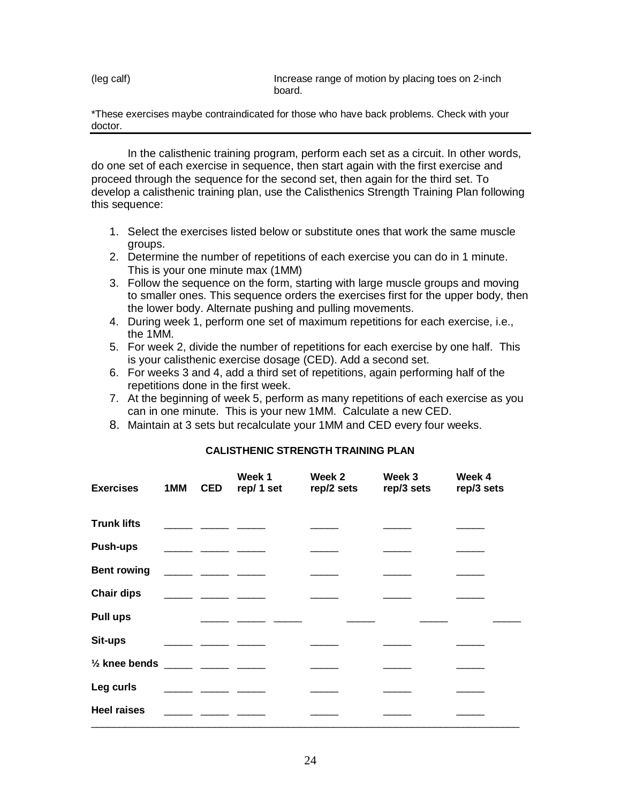(leg calf) Increase range of motion by placing toes on 2-inch board.

\*These exercises maybe contraindicated for those who have back problems. Check with your doctor.

In the calisthenic training program, perform each set as a circuit. In other words, do one set of each exercise in sequence, then start again with the first exercise and proceed through the sequence for the second set, then again for the third set. To develop a calisthenic training plan, use the Calisthenics Strength Training Plan following this sequence:

- 1. Select the exercises listed below or substitute ones that work the same muscle groups.
- 2. Determine the number of repetitions of each exercise you can do in 1 minute. This is your one minute max (1MM)
- 3. Follow the sequence on the form, starting with large muscle groups and moving to smaller ones. This sequence orders the exercises first for the upper body, then the lower body. Alternate pushing and pulling movements.
- 4. During week 1, perform one set of maximum repetitions for each exercise, i.e., the 1MM.
- 5. For week 2, divide the number of repetitions for each exercise by one half. This is your calisthenic exercise dosage (CED). Add a second set.
- 6. For weeks 3 and 4, add a third set of repetitions, again performing half of the repetitions done in the first week.
- 7. At the beginning of week 5, perform as many repetitions of each exercise as you can in one minute. This is your new 1MM. Calculate a new CED.
- 8. Maintain at 3 sets but recalculate your 1MM and CED every four weeks.

| <b>Exercises</b>                         | 1MM | <b>CED</b> | Week 1<br>rep/ 1 set | Week 2<br>rep/2 sets | Week 3<br>rep/3 sets | Week 4<br>rep/3 sets |
|------------------------------------------|-----|------------|----------------------|----------------------|----------------------|----------------------|
| <b>Trunk lifts</b>                       |     |            |                      |                      |                      |                      |
| <b>Push-ups</b>                          |     |            |                      |                      |                      |                      |
| <b>Bent rowing</b>                       |     |            |                      |                      |                      |                      |
| <b>Chair dips</b>                        |     |            |                      |                      |                      |                      |
| <b>Pull ups</b>                          |     |            |                      |                      |                      |                      |
| Sit-ups                                  |     |            |                      |                      |                      |                      |
| $\frac{1}{2}$ knee bends _____ ____ ____ |     |            |                      |                      |                      |                      |
| Leg curls                                |     |            |                      |                      |                      |                      |
| <b>Heel raises</b>                       |     |            |                      |                      |                      |                      |

# **CALISTHENIC STRENGTH TRAINING PLAN**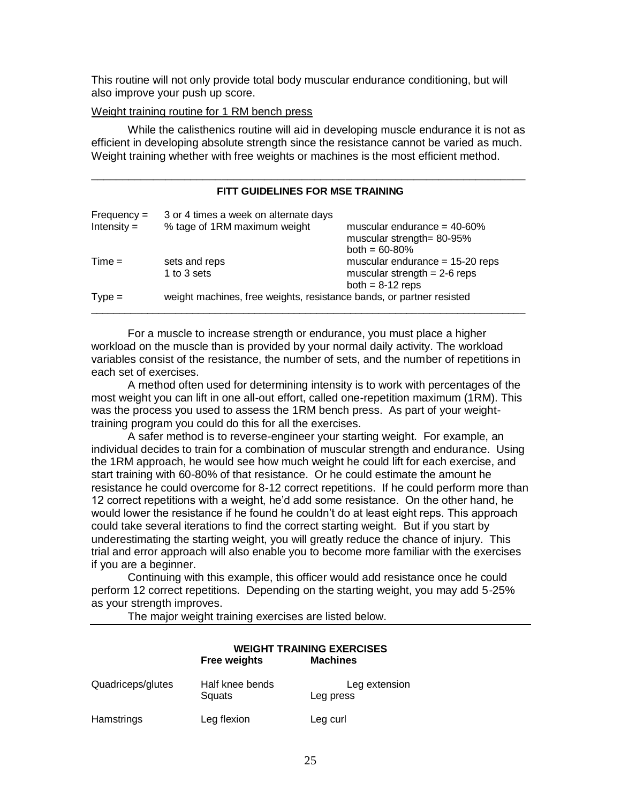This routine will not only provide total body muscular endurance conditioning, but will also improve your push up score.

#### Weight training routine for 1 RM bench press

While the calisthenics routine will aid in developing muscle endurance it is not as efficient in developing absolute strength since the resistance cannot be varied as much. Weight training whether with free weights or machines is the most efficient method.

# \_\_\_\_\_\_\_\_\_\_\_\_\_\_\_\_\_\_\_\_\_\_\_\_\_\_\_\_\_\_\_\_\_\_\_\_\_\_\_\_\_\_\_\_\_\_\_\_\_\_\_\_\_\_\_\_\_\_\_\_\_\_\_\_\_\_\_\_\_\_ **FITT GUIDELINES FOR MSE TRAINING**

| $Frequency =$<br>Intensity $=$ | 3 or 4 times a week on alternate days<br>% tage of 1RM maximum weight | muscular endurance = $40-60\%$<br>muscular strength= 80-95%<br>both = $60 - 80%$          |
|--------------------------------|-----------------------------------------------------------------------|-------------------------------------------------------------------------------------------|
| $Time =$                       | sets and reps<br>1 to 3 sets                                          | muscular endurance = $15-20$ reps<br>muscular strength $= 2-6$ reps<br>both = $8-12$ reps |
| $Type =$                       | weight machines, free weights, resistance bands, or partner resisted  |                                                                                           |

For a muscle to increase strength or endurance, you must place a higher workload on the muscle than is provided by your normal daily activity. The workload variables consist of the resistance, the number of sets, and the number of repetitions in each set of exercises.

A method often used for determining intensity is to work with percentages of the most weight you can lift in one all-out effort, called one-repetition maximum (1RM). This was the process you used to assess the 1RM bench press. As part of your weighttraining program you could do this for all the exercises.

A safer method is to reverse-engineer your starting weight. For example, an individual decides to train for a combination of muscular strength and endurance. Using the 1RM approach, he would see how much weight he could lift for each exercise, and start training with 60-80% of that resistance. Or he could estimate the amount he resistance he could overcome for 8-12 correct repetitions. If he could perform more than 12 correct repetitions with a weight, he'd add some resistance. On the other hand, he would lower the resistance if he found he couldn't do at least eight reps. This approach could take several iterations to find the correct starting weight. But if you start by underestimating the starting weight, you will greatly reduce the chance of injury. This trial and error approach will also enable you to become more familiar with the exercises if you are a beginner.

Continuing with this example, this officer would add resistance once he could perform 12 correct repetitions. Depending on the starting weight, you may add 5-25% as your strength improves.

The major weight training exercises are listed below.

|                   | Free weights              | <b>WEIGHT TRAINING EXERCISES</b><br><b>Machines</b> |
|-------------------|---------------------------|-----------------------------------------------------|
| Quadriceps/glutes | Half knee bends<br>Squats | Leg extension<br>Leg press                          |
| <b>Hamstrings</b> | Leg flexion               | Leg curl                                            |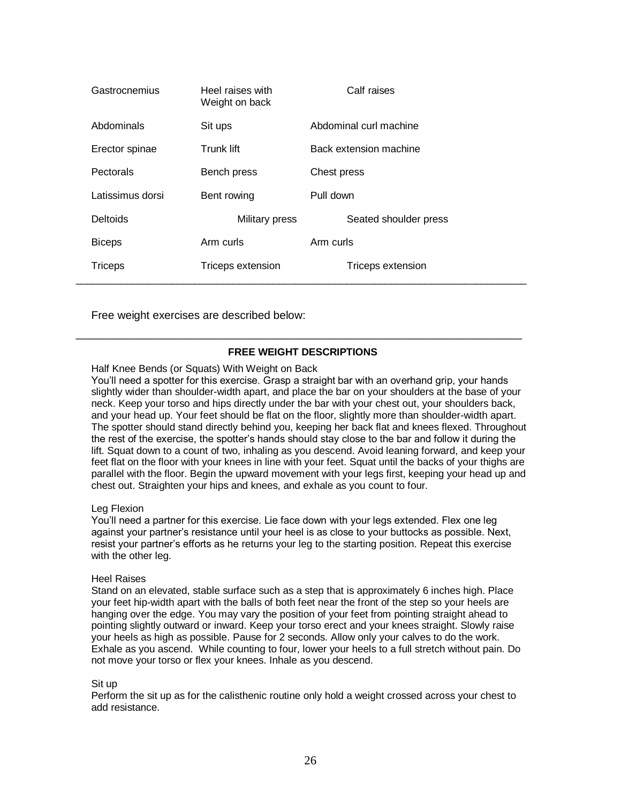| Gastrocnemius    | Heel raises with<br>Weight on back | Calf raises            |
|------------------|------------------------------------|------------------------|
| Abdominals       | Sit ups                            | Abdominal curl machine |
| Erector spinae   | Trunk lift                         | Back extension machine |
| <b>Pectorals</b> | Bench press                        | Chest press            |
| Latissimus dorsi | Bent rowing                        | Pull down              |
| <b>Deltoids</b>  | Military press                     | Seated shoulder press  |
| <b>Biceps</b>    | Arm curls                          | Arm curls              |
| Triceps          | Triceps extension                  | Triceps extension      |

Free weight exercises are described below:

### **FREE WEIGHT DESCRIPTIONS**

\_\_\_\_\_\_\_\_\_\_\_\_\_\_\_\_\_\_\_\_\_\_\_\_\_\_\_\_\_\_\_\_\_\_\_\_\_\_\_\_\_\_\_\_\_\_\_\_\_\_\_\_\_\_\_\_\_\_\_\_\_\_\_\_\_\_\_\_\_\_\_\_

Half Knee Bends (or Squats) With Weight on Back

You'll need a spotter for this exercise. Grasp a straight bar with an overhand grip, your hands slightly wider than shoulder-width apart, and place the bar on your shoulders at the base of your neck. Keep your torso and hips directly under the bar with your chest out, your shoulders back, and your head up. Your feet should be flat on the floor, slightly more than shoulder-width apart. The spotter should stand directly behind you, keeping her back flat and knees flexed. Throughout the rest of the exercise, the spotter's hands should stay close to the bar and follow it during the lift. Squat down to a count of two, inhaling as you descend. Avoid leaning forward, and keep your feet flat on the floor with your knees in line with your feet. Squat until the backs of your thighs are parallel with the floor. Begin the upward movement with your legs first, keeping your head up and chest out. Straighten your hips and knees, and exhale as you count to four.

#### Leg Flexion

You'll need a partner for this exercise. Lie face down with your legs extended. Flex one leg against your partner's resistance until your heel is as close to your buttocks as possible. Next, resist your partner's efforts as he returns your leg to the starting position. Repeat this exercise with the other leg.

#### Heel Raises

Stand on an elevated, stable surface such as a step that is approximately 6 inches high. Place your feet hip-width apart with the balls of both feet near the front of the step so your heels are hanging over the edge. You may vary the position of your feet from pointing straight ahead to pointing slightly outward or inward. Keep your torso erect and your knees straight. Slowly raise your heels as high as possible. Pause for 2 seconds. Allow only your calves to do the work. Exhale as you ascend. While counting to four, lower your heels to a full stretch without pain. Do not move your torso or flex your knees. Inhale as you descend.

#### Sit up

Perform the sit up as for the calisthenic routine only hold a weight crossed across your chest to add resistance.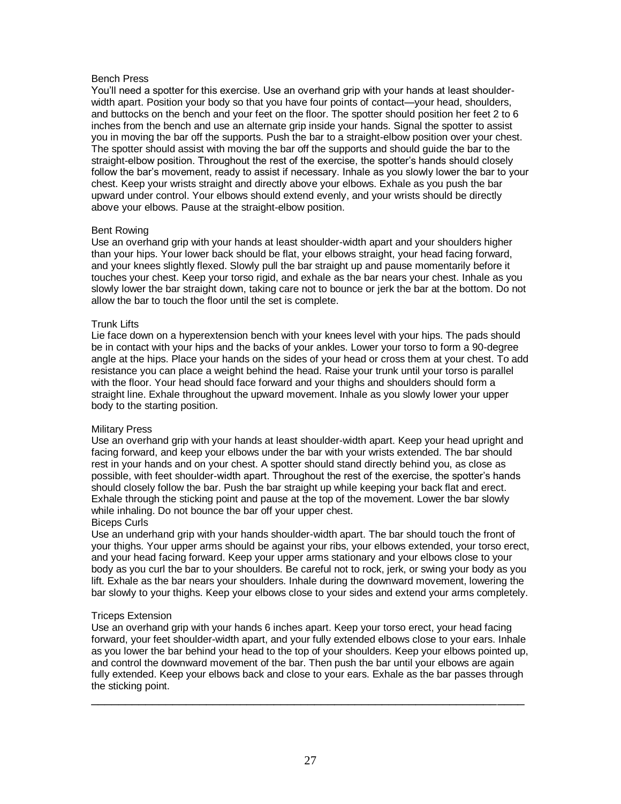#### Bench Press

You'll need a spotter for this exercise. Use an overhand grip with your hands at least shoulderwidth apart. Position your body so that you have four points of contact—your head, shoulders, and buttocks on the bench and your feet on the floor. The spotter should position her feet 2 to 6 inches from the bench and use an alternate grip inside your hands. Signal the spotter to assist you in moving the bar off the supports. Push the bar to a straight-elbow position over your chest. The spotter should assist with moving the bar off the supports and should guide the bar to the straight-elbow position. Throughout the rest of the exercise, the spotter's hands should closely follow the bar's movement, ready to assist if necessary. Inhale as you slowly lower the bar to your chest. Keep your wrists straight and directly above your elbows. Exhale as you push the bar upward under control. Your elbows should extend evenly, and your wrists should be directly above your elbows. Pause at the straight-elbow position.

#### Bent Rowing

Use an overhand grip with your hands at least shoulder-width apart and your shoulders higher than your hips. Your lower back should be flat, your elbows straight, your head facing forward, and your knees slightly flexed. Slowly pull the bar straight up and pause momentarily before it touches your chest. Keep your torso rigid, and exhale as the bar nears your chest. Inhale as you slowly lower the bar straight down, taking care not to bounce or jerk the bar at the bottom. Do not allow the bar to touch the floor until the set is complete.

#### Trunk Lifts

Lie face down on a hyperextension bench with your knees level with your hips. The pads should be in contact with your hips and the backs of your ankles. Lower your torso to form a 90-degree angle at the hips. Place your hands on the sides of your head or cross them at your chest. To add resistance you can place a weight behind the head. Raise your trunk until your torso is parallel with the floor. Your head should face forward and your thighs and shoulders should form a straight line. Exhale throughout the upward movement. Inhale as you slowly lower your upper body to the starting position.

#### Military Press

Use an overhand grip with your hands at least shoulder-width apart. Keep your head upright and facing forward, and keep your elbows under the bar with your wrists extended. The bar should rest in your hands and on your chest. A spotter should stand directly behind you, as close as possible, with feet shoulder-width apart. Throughout the rest of the exercise, the spotter's hands should closely follow the bar. Push the bar straight up while keeping your back flat and erect. Exhale through the sticking point and pause at the top of the movement. Lower the bar slowly while inhaling. Do not bounce the bar off your upper chest.

#### Biceps Curls

Use an underhand grip with your hands shoulder-width apart. The bar should touch the front of your thighs. Your upper arms should be against your ribs, your elbows extended, your torso erect, and your head facing forward. Keep your upper arms stationary and your elbows close to your body as you curl the bar to your shoulders. Be careful not to rock, jerk, or swing your body as you lift. Exhale as the bar nears your shoulders. Inhale during the downward movement, lowering the bar slowly to your thighs. Keep your elbows close to your sides and extend your arms completely.

#### Triceps Extension

Use an overhand grip with your hands 6 inches apart. Keep your torso erect, your head facing forward, your feet shoulder-width apart, and your fully extended elbows close to your ears. Inhale as you lower the bar behind your head to the top of your shoulders. Keep your elbows pointed up, and control the downward movement of the bar. Then push the bar until your elbows are again fully extended. Keep your elbows back and close to your ears. Exhale as the bar passes through the sticking point.

\_\_\_\_\_\_\_\_\_\_\_\_\_\_\_\_\_\_\_\_\_\_\_\_\_\_\_\_\_\_\_\_\_\_\_\_\_\_\_\_\_\_\_\_\_\_\_\_\_\_\_\_\_\_\_\_\_\_\_\_\_\_\_\_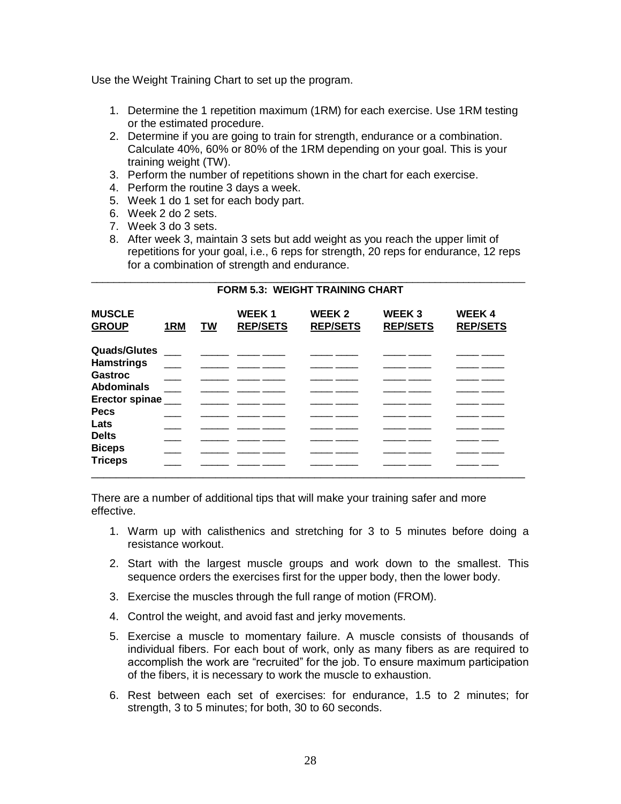Use the Weight Training Chart to set up the program.

- 1. Determine the 1 repetition maximum (1RM) for each exercise. Use 1RM testing or the estimated procedure.
- 2. Determine if you are going to train for strength, endurance or a combination. Calculate 40%, 60% or 80% of the 1RM depending on your goal. This is your training weight (TW).
- 3. Perform the number of repetitions shown in the chart for each exercise.
- 4. Perform the routine 3 days a week.
- 5. Week 1 do 1 set for each body part.
- 6. Week 2 do 2 sets.
- 7. Week 3 do 3 sets.
- 8. After week 3, maintain 3 sets but add weight as you reach the upper limit of repetitions for your goal, i.e., 6 reps for strength, 20 reps for endurance, 12 reps for a combination of strength and endurance.

#### \_\_\_\_\_\_\_\_\_\_\_\_\_\_\_\_\_\_\_\_\_\_\_\_\_\_\_\_\_\_\_\_\_\_\_\_\_\_\_\_\_\_\_\_\_\_\_\_\_\_\_\_\_\_\_\_\_\_\_\_\_\_\_\_\_\_\_\_\_\_\_\_\_\_\_\_\_ **FORM 5.3: WEIGHT TRAINING CHART**

| <b>MUSCLE</b><br><b>GROUP</b>            | 1RM | TW | <b>WEEK1</b><br><b>REP/SETS</b>                                                                                                                                                                                                      | WEEK <sub>2</sub><br><b>REP/SETS</b> | <b>WEEK3</b><br><b>REP/SETS</b> | <b>WEEK4</b><br><b>REP/SETS</b> |
|------------------------------------------|-----|----|--------------------------------------------------------------------------------------------------------------------------------------------------------------------------------------------------------------------------------------|--------------------------------------|---------------------------------|---------------------------------|
| <b>Quads/Glutes</b><br><b>Hamstrings</b> |     |    |                                                                                                                                                                                                                                      |                                      |                                 |                                 |
| <b>Gastroc</b><br><b>Abdominals</b>      |     |    | <u> Alexandro de Alexandro de Alexandro de Alexandro de Alexandro de Alexandro de Alexandro de Alexandro de Alexandro de Alexandro de Alexandro de Alexandro de Alexandro de Alexandro de Alexandro de Alexandro de Alexandro de</u> |                                      |                                 |                                 |
| Erector spinae ___<br><b>Pecs</b>        |     |    |                                                                                                                                                                                                                                      |                                      |                                 |                                 |
| Lats<br><b>Delts</b>                     |     |    |                                                                                                                                                                                                                                      |                                      |                                 |                                 |
| <b>Biceps</b><br><b>Triceps</b>          |     |    |                                                                                                                                                                                                                                      |                                      |                                 |                                 |
|                                          |     |    |                                                                                                                                                                                                                                      |                                      |                                 |                                 |

There are a number of additional tips that will make your training safer and more effective.

- 1. Warm up with calisthenics and stretching for 3 to 5 minutes before doing a resistance workout.
- 2. Start with the largest muscle groups and work down to the smallest. This sequence orders the exercises first for the upper body, then the lower body.
- 3. Exercise the muscles through the full range of motion (FROM).
- 4. Control the weight, and avoid fast and jerky movements.
- 5. Exercise a muscle to momentary failure. A muscle consists of thousands of individual fibers. For each bout of work, only as many fibers as are required to accomplish the work are "recruited" for the job. To ensure maximum participation of the fibers, it is necessary to work the muscle to exhaustion.
- 6. Rest between each set of exercises: for endurance, 1.5 to 2 minutes; for strength, 3 to 5 minutes; for both, 30 to 60 seconds.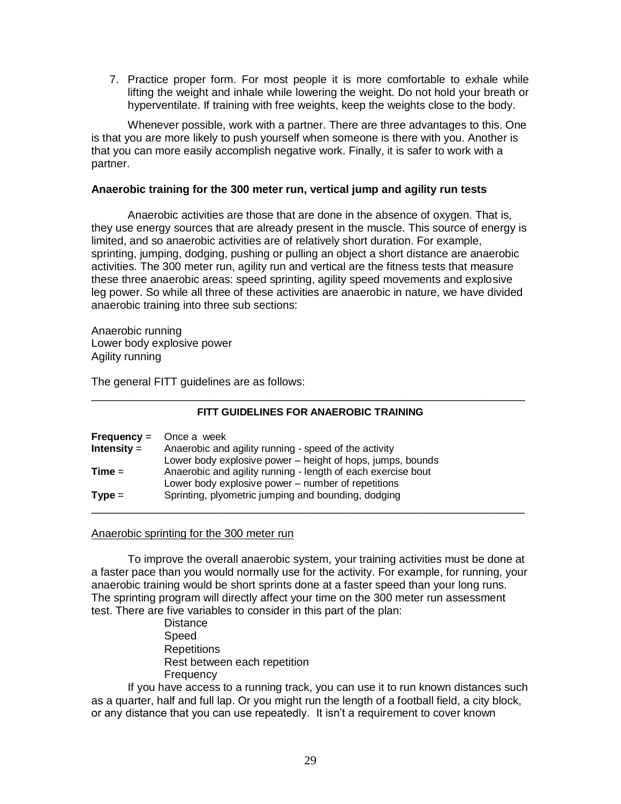7. Practice proper form. For most people it is more comfortable to exhale while lifting the weight and inhale while lowering the weight. Do not hold your breath or hyperventilate. If training with free weights, keep the weights close to the body.

Whenever possible, work with a partner. There are three advantages to this. One is that you are more likely to push yourself when someone is there with you. Another is that you can more easily accomplish negative work. Finally, it is safer to work with a partner.

### **Anaerobic training for the 300 meter run, vertical jump and agility run tests**

Anaerobic activities are those that are done in the absence of oxygen. That is, they use energy sources that are already present in the muscle. This source of energy is limited, and so anaerobic activities are of relatively short duration. For example, sprinting, jumping, dodging, pushing or pulling an object a short distance are anaerobic activities. The 300 meter run, agility run and vertical are the fitness tests that measure these three anaerobic areas: speed sprinting, agility speed movements and explosive leg power. So while all three of these activities are anaerobic in nature, we have divided anaerobic training into three sub sections:

Anaerobic running Lower body explosive power Agility running

The general FITT guidelines are as follows:

# \_\_\_\_\_\_\_\_\_\_\_\_\_\_\_\_\_\_\_\_\_\_\_\_\_\_\_\_\_\_\_\_\_\_\_\_\_\_\_\_\_\_\_\_\_\_\_\_\_\_\_\_\_\_\_\_\_\_\_\_\_\_\_\_\_\_\_\_\_\_ **FITT GUIDELINES FOR ANAEROBIC TRAINING**

| <b>Frequency</b> = Once a week |                                                              |
|--------------------------------|--------------------------------------------------------------|
| Intensity $=$                  | Anaerobic and agility running - speed of the activity        |
|                                | Lower body explosive power – height of hops, jumps, bounds   |
| $Time =$                       | Anaerobic and agility running - length of each exercise bout |
|                                | Lower body explosive power – number of repetitions           |
| $Type =$                       | Sprinting, plyometric jumping and bounding, dodging          |
|                                |                                                              |

#### Anaerobic sprinting for the 300 meter run

To improve the overall anaerobic system, your training activities must be done at a faster pace than you would normally use for the activity. For example, for running, your anaerobic training would be short sprints done at a faster speed than your long runs. The sprinting program will directly affect your time on the 300 meter run assessment test. There are five variables to consider in this part of the plan:

**Distance** Speed **Repetitions** Rest between each repetition **Frequency** 

If you have access to a running track, you can use it to run known distances such as a quarter, half and full lap. Or you might run the length of a football field, a city block, or any distance that you can use repeatedly. It isn't a requirement to cover known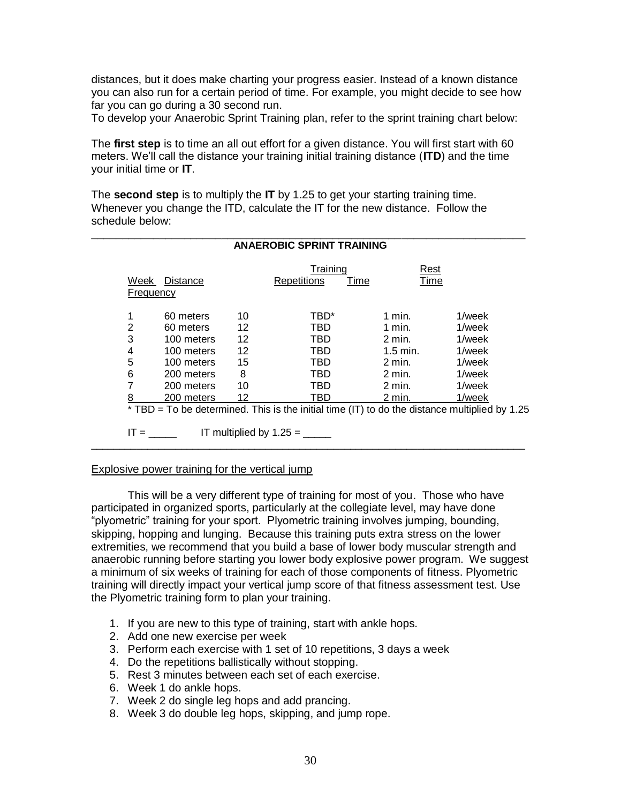distances, but it does make charting your progress easier. Instead of a known distance you can also run for a certain period of time. For example, you might decide to see how far you can go during a 30 second run.

To develop your Anaerobic Sprint Training plan, refer to the sprint training chart below:

The **first step** is to time an all out effort for a given distance. You will first start with 60 meters. We'll call the distance your training initial training distance (**ITD**) and the time your initial time or **IT**.

The **second step** is to multiply the **IT** by 1.25 to get your starting training time. Whenever you change the ITD, calculate the IT for the new distance. Follow the schedule below:

|                |                 |    | Training    |       | Rest              |           |
|----------------|-----------------|----|-------------|-------|-------------------|-----------|
| Week           | <b>Distance</b> |    | Repetitions | l ime | Time              |           |
| Frequency      |                 |    |             |       |                   |           |
| 1              | 60 meters       | 10 | TBD*        |       | 1 min.            | 1/week    |
| $\overline{2}$ | 60 meters       | 12 | TBD         |       | 1 min.            | $1$ /week |
| 3              | 100 meters      | 12 | TBD         |       | $2$ min.          | $1$ /week |
| 4              | 100 meters      | 12 | TBD         |       | $1.5$ min.        | $1$ /week |
| 5              | 100 meters      | 15 | TBD         |       | $2 \text{ min}$ . | 1/week    |
| 6              | 200 meters      | 8  | TBD         |       | $2 \text{ min}$ . | 1/week    |
| 7              | 200 meters      | 10 | TBD         |       | $2 \text{ min}$ . | 1/week    |
| 8              | 200 meters      | 12 | TBD         |       | 2 min.            | $1$ /week |

#### Explosive power training for the vertical jump

This will be a very different type of training for most of you. Those who have participated in organized sports, particularly at the collegiate level, may have done "plyometric" training for your sport. Plyometric training involves jumping, bounding, skipping, hopping and lunging. Because this training puts extra stress on the lower extremities, we recommend that you build a base of lower body muscular strength and anaerobic running before starting you lower body explosive power program. We suggest a minimum of six weeks of training for each of those components of fitness. Plyometric training will directly impact your vertical jump score of that fitness assessment test. Use the Plyometric training form to plan your training.

\_\_\_\_\_\_\_\_\_\_\_\_\_\_\_\_\_\_\_\_\_\_\_\_\_\_\_\_\_\_\_\_\_\_\_\_\_\_\_\_\_\_\_\_\_\_\_\_\_\_\_\_\_\_\_\_\_\_\_\_\_\_\_\_\_\_\_\_\_\_\_\_\_\_\_\_\_

- 1. If you are new to this type of training, start with ankle hops.
- 2. Add one new exercise per week
- 3. Perform each exercise with 1 set of 10 repetitions, 3 days a week
- 4. Do the repetitions ballistically without stopping.
- 5. Rest 3 minutes between each set of each exercise.
- 6. Week 1 do ankle hops.
- 7. Week 2 do single leg hops and add prancing.
- 8. Week 3 do double leg hops, skipping, and jump rope.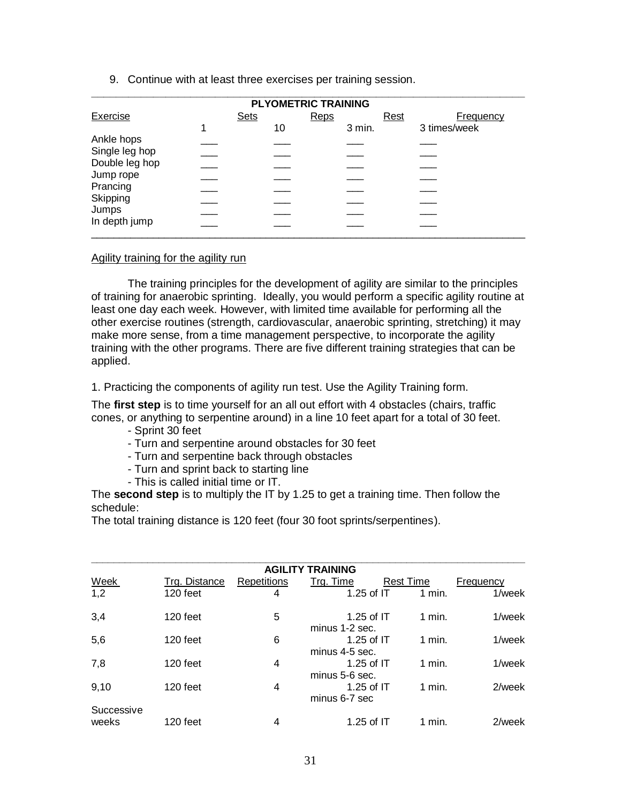9. Continue with at least three exercises per training session.

| <b>PLYOMETRIC TRAINING</b>       |  |             |             |             |              |  |  |  |  |
|----------------------------------|--|-------------|-------------|-------------|--------------|--|--|--|--|
| Exercise                         |  | <b>Sets</b> | <b>Reps</b> | <b>Rest</b> | Frequency    |  |  |  |  |
|                                  |  | 10          | 3 min.      |             | 3 times/week |  |  |  |  |
| Ankle hops                       |  |             |             |             |              |  |  |  |  |
| Single leg hop<br>Double leg hop |  |             |             |             |              |  |  |  |  |
| Jump rope                        |  |             |             |             |              |  |  |  |  |
| Prancing                         |  |             |             |             |              |  |  |  |  |
| Skipping                         |  |             |             |             |              |  |  |  |  |
| Jumps                            |  |             |             |             |              |  |  |  |  |
| In depth jump                    |  |             |             |             |              |  |  |  |  |

#### Agility training for the agility run

The training principles for the development of agility are similar to the principles of training for anaerobic sprinting. Ideally, you would perform a specific agility routine at least one day each week. However, with limited time available for performing all the other exercise routines (strength, cardiovascular, anaerobic sprinting, stretching) it may make more sense, from a time management perspective, to incorporate the agility training with the other programs. There are five different training strategies that can be applied.

1. Practicing the components of agility run test. Use the Agility Training form.

The **first step** is to time yourself for an all out effort with 4 obstacles (chairs, traffic cones, or anything to serpentine around) in a line 10 feet apart for a total of 30 feet.

- Sprint 30 feet
- Turn and serpentine around obstacles for 30 feet
- Turn and serpentine back through obstacles
- Turn and sprint back to starting line
- This is called initial time or IT.

The **second step** is to multiply the IT by 1.25 to get a training time. Then follow the schedule:

The total training distance is 120 feet (four 30 foot sprints/serpentines).

|            |               |             | <b>AGILITY TRAINING</b> |                  |           |
|------------|---------------|-------------|-------------------------|------------------|-----------|
| Week       | Trg. Distance | Repetitions | Trg. Time               | <b>Rest Time</b> | Frequency |
| 1,2        | 120 feet      | 4           | 1.25 of $IT$            | 1 min.           | 1/week    |
| 3,4        | 120 feet      | 5           | 1.25 of $IT$            | 1 min.           | 1/week    |
|            |               |             | minus 1-2 sec.          |                  |           |
| 5,6        | 120 feet      | 6           | 1.25 of IT              | 1 min.           | 1/week    |
|            |               |             | minus 4-5 sec.          |                  |           |
| 7,8        | 120 feet      | 4           | 1.25 of $IT$            | 1 min.           | 1/week    |
|            |               |             | minus 5-6 sec.          |                  |           |
| 9,10       | 120 feet      | 4           | 1.25 of $IT$            | 1 min.           | 2/week    |
|            |               |             | minus 6-7 sec           |                  |           |
| Successive |               |             |                         |                  |           |
| weeks      | 120 feet      | 4           | 1.25 of $IT$            | 1 min.           | 2/week    |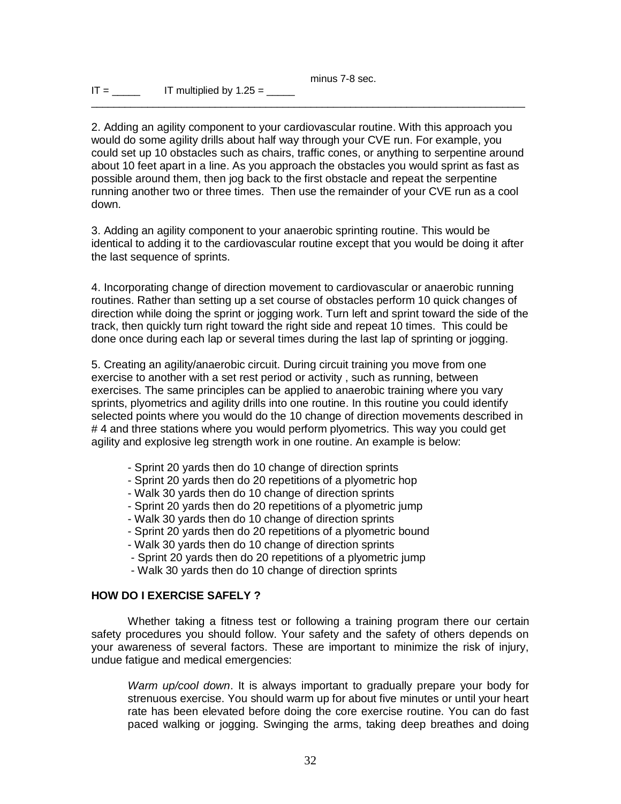2. Adding an agility component to your cardiovascular routine. With this approach you would do some agility drills about half way through your CVE run. For example, you could set up 10 obstacles such as chairs, traffic cones, or anything to serpentine around about 10 feet apart in a line. As you approach the obstacles you would sprint as fast as possible around them, then jog back to the first obstacle and repeat the serpentine running another two or three times. Then use the remainder of your CVE run as a cool down.

3. Adding an agility component to your anaerobic sprinting routine. This would be identical to adding it to the cardiovascular routine except that you would be doing it after the last sequence of sprints.

4. Incorporating change of direction movement to cardiovascular or anaerobic running routines. Rather than setting up a set course of obstacles perform 10 quick changes of direction while doing the sprint or jogging work. Turn left and sprint toward the side of the track, then quickly turn right toward the right side and repeat 10 times. This could be done once during each lap or several times during the last lap of sprinting or jogging.

5. Creating an agility/anaerobic circuit. During circuit training you move from one exercise to another with a set rest period or activity , such as running, between exercises. The same principles can be applied to anaerobic training where you vary sprints, plyometrics and agility drills into one routine. In this routine you could identify selected points where you would do the 10 change of direction movements described in # 4 and three stations where you would perform plyometrics. This way you could get agility and explosive leg strength work in one routine. An example is below:

- Sprint 20 yards then do 10 change of direction sprints
- Sprint 20 yards then do 20 repetitions of a plyometric hop
- Walk 30 yards then do 10 change of direction sprints
- Sprint 20 yards then do 20 repetitions of a plyometric jump
- Walk 30 yards then do 10 change of direction sprints
- Sprint 20 yards then do 20 repetitions of a plyometric bound
- Walk 30 yards then do 10 change of direction sprints
- Sprint 20 yards then do 20 repetitions of a plyometric jump
- Walk 30 yards then do 10 change of direction sprints

#### **HOW DO I EXERCISE SAFELY ?**

Whether taking a fitness test or following a training program there our certain safety procedures you should follow. Your safety and the safety of others depends on your awareness of several factors. These are important to minimize the risk of injury, undue fatigue and medical emergencies:

*Warm up/cool down*. It is always important to gradually prepare your body for strenuous exercise. You should warm up for about five minutes or until your heart rate has been elevated before doing the core exercise routine. You can do fast paced walking or jogging. Swinging the arms, taking deep breathes and doing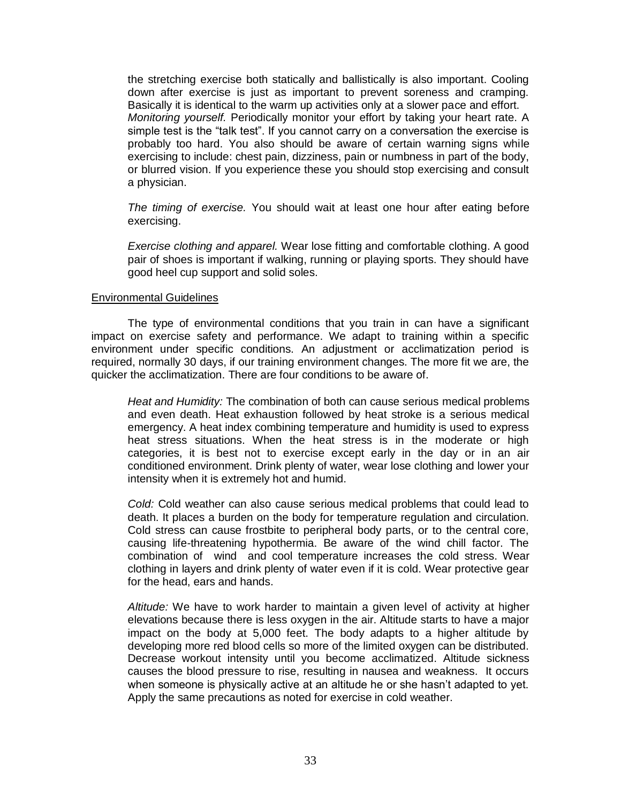the stretching exercise both statically and ballistically is also important. Cooling down after exercise is just as important to prevent soreness and cramping. Basically it is identical to the warm up activities only at a slower pace and effort. *Monitoring yourself.* Periodically monitor your effort by taking your heart rate. A simple test is the "talk test". If you cannot carry on a conversation the exercise is probably too hard. You also should be aware of certain warning signs while exercising to include: chest pain, dizziness, pain or numbness in part of the body, or blurred vision. If you experience these you should stop exercising and consult a physician.

*The timing of exercise.* You should wait at least one hour after eating before exercising.

*Exercise clothing and apparel.* Wear lose fitting and comfortable clothing. A good pair of shoes is important if walking, running or playing sports. They should have good heel cup support and solid soles.

#### Environmental Guidelines

The type of environmental conditions that you train in can have a significant impact on exercise safety and performance. We adapt to training within a specific environment under specific conditions. An adjustment or acclimatization period is required, normally 30 days, if our training environment changes. The more fit we are, the quicker the acclimatization. There are four conditions to be aware of.

*Heat and Humidity:* The combination of both can cause serious medical problems and even death. Heat exhaustion followed by heat stroke is a serious medical emergency. A heat index combining temperature and humidity is used to express heat stress situations. When the heat stress is in the moderate or high categories, it is best not to exercise except early in the day or in an air conditioned environment. Drink plenty of water, wear lose clothing and lower your intensity when it is extremely hot and humid.

*Cold:* Cold weather can also cause serious medical problems that could lead to death. It places a burden on the body for temperature regulation and circulation. Cold stress can cause frostbite to peripheral body parts, or to the central core, causing life-threatening hypothermia. Be aware of the wind chill factor. The combination of wind and cool temperature increases the cold stress. Wear clothing in layers and drink plenty of water even if it is cold. Wear protective gear for the head, ears and hands.

*Altitude:* We have to work harder to maintain a given level of activity at higher elevations because there is less oxygen in the air. Altitude starts to have a major impact on the body at 5,000 feet. The body adapts to a higher altitude by developing more red blood cells so more of the limited oxygen can be distributed. Decrease workout intensity until you become acclimatized. Altitude sickness causes the blood pressure to rise, resulting in nausea and weakness. It occurs when someone is physically active at an altitude he or she hasn't adapted to yet. Apply the same precautions as noted for exercise in cold weather.